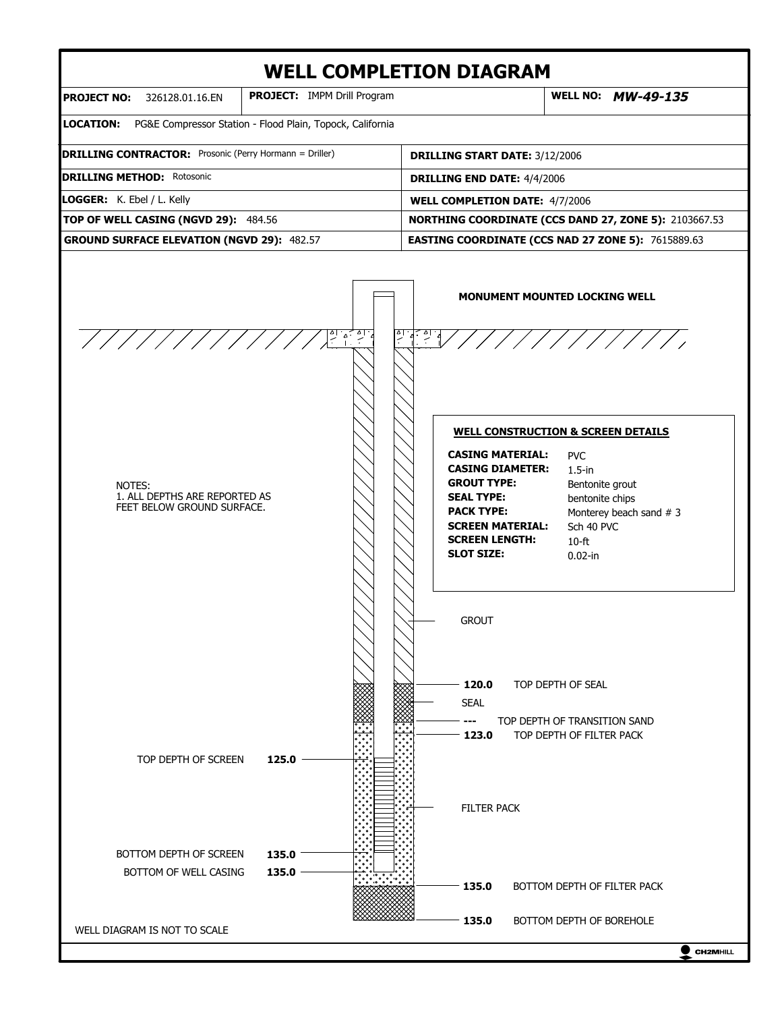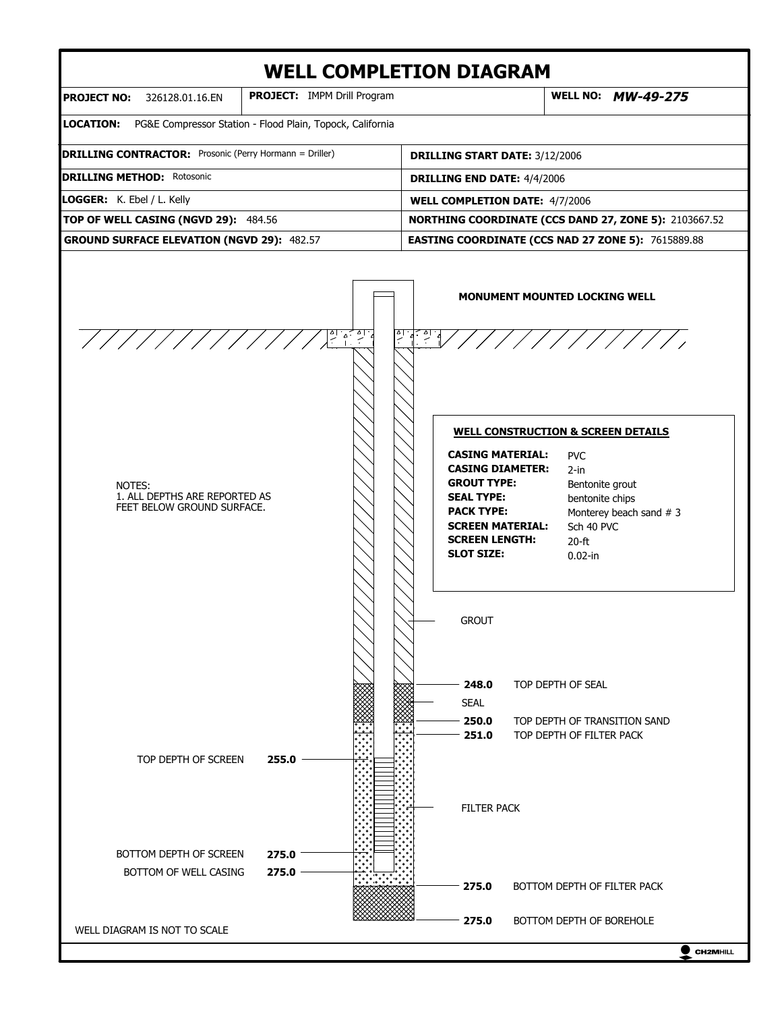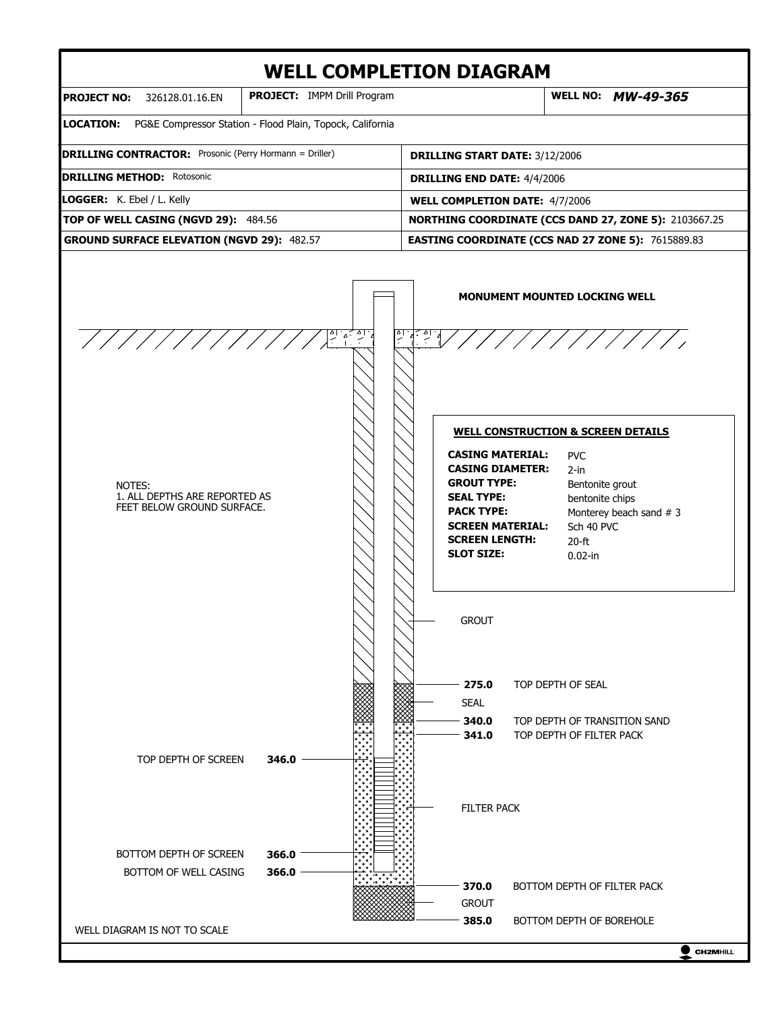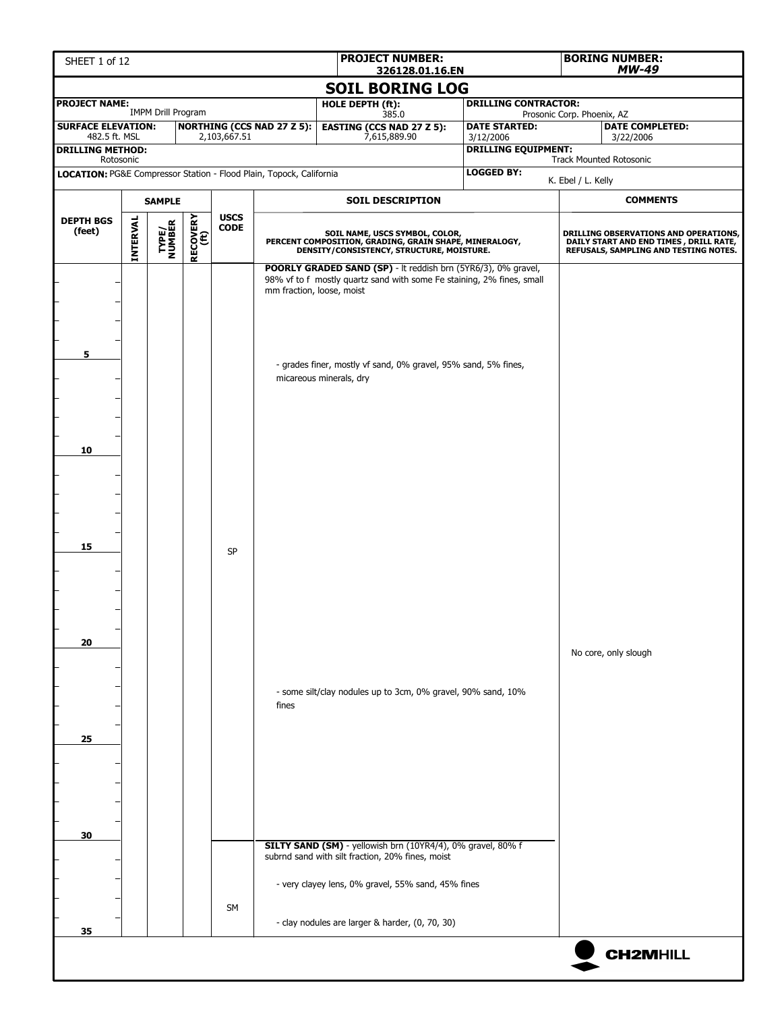| SHEET 1 of 12                                                       |          |                           |                  |                                |                                   |                                                                                                                                                                       | <b>PROJECT NUMBER:</b><br>326128.01.16.EN                                                                                                                                                              |                                   |                            | <b>BORING NUMBER:</b><br><b>MW-49</b>                                                                                     |  |  |
|---------------------------------------------------------------------|----------|---------------------------|------------------|--------------------------------|-----------------------------------|-----------------------------------------------------------------------------------------------------------------------------------------------------------------------|--------------------------------------------------------------------------------------------------------------------------------------------------------------------------------------------------------|-----------------------------------|----------------------------|---------------------------------------------------------------------------------------------------------------------------|--|--|
|                                                                     |          |                           |                  |                                |                                   | <b>SOIL BORING LOG</b>                                                                                                                                                |                                                                                                                                                                                                        |                                   |                            |                                                                                                                           |  |  |
| <b>PROJECT NAME:</b>                                                |          | <b>IMPM Drill Program</b> |                  |                                |                                   | HOLE DEPTH (ft):<br>385.0                                                                                                                                             |                                                                                                                                                                                                        | <b>DRILLING CONTRACTOR:</b>       | Prosonic Corp. Phoenix, AZ |                                                                                                                           |  |  |
| <b>SURFACE ELEVATION:</b><br>482.5 ft. MSL                          |          |                           |                  | 2,103,667.51                   | <b>NORTHING (CCS NAD 27 Z 5):</b> | <b>EASTING (CCS NAD 27 Z 5):</b><br>7,615,889.90                                                                                                                      |                                                                                                                                                                                                        | <b>DATE STARTED:</b><br>3/12/2006 |                            | <b>DATE COMPLETED:</b><br>3/22/2006                                                                                       |  |  |
| <b>DRILLING METHOD:</b><br>Rotosonic                                |          |                           |                  |                                |                                   |                                                                                                                                                                       |                                                                                                                                                                                                        | <b>DRILLING EQUIPMENT:</b>        |                            | <b>Track Mounted Rotosonic</b>                                                                                            |  |  |
| LOCATION: PG&E Compressor Station - Flood Plain, Topock, California |          |                           |                  |                                |                                   |                                                                                                                                                                       |                                                                                                                                                                                                        | <b>LOGGED BY:</b>                 | K. Ebel / L. Kelly         |                                                                                                                           |  |  |
|                                                                     |          | <b>SAMPLE</b>             |                  |                                |                                   | <b>SOIL DESCRIPTION</b>                                                                                                                                               |                                                                                                                                                                                                        |                                   |                            | <b>COMMENTS</b>                                                                                                           |  |  |
| <b>DEPTH BGS</b><br>(feet)                                          | INTERVAL | <b>TYPE/<br/>NUMBER</b>   | RECOVERY<br>(ft) | <b>USCS</b><br>$\mathsf{CODE}$ |                                   |                                                                                                                                                                       | SOIL NAME, USCS SYMBOL, COLOR,<br>PERCENT COMPOSITION, GRADING, GRAIN SHAPE, MINERALOGY,<br>DENSITY/CONSISTENCY, STRUCTURE, MOISTURE.<br>POORLY GRADED SAND (SP) - It reddish brn (5YR6/3), 0% gravel, |                                   |                            | DRILLING OBSERVATIONS AND OPERATIONS,<br>DAILY START AND END TIMES , DRILL RATE,<br>REFUSALS, SAMPLING AND TESTING NOTES. |  |  |
| 5                                                                   |          |                           |                  |                                | mm fraction, loose, moist         | 98% vf to f mostly quartz sand with some Fe staining, 2% fines, small<br>- grades finer, mostly vf sand, 0% gravel, 95% sand, 5% fines,<br>micareous minerals, dry    |                                                                                                                                                                                                        |                                   |                            |                                                                                                                           |  |  |
| 10                                                                  |          |                           |                  |                                |                                   |                                                                                                                                                                       |                                                                                                                                                                                                        |                                   |                            |                                                                                                                           |  |  |
| 15                                                                  |          |                           |                  | <b>SP</b>                      |                                   |                                                                                                                                                                       |                                                                                                                                                                                                        |                                   |                            |                                                                                                                           |  |  |
| 20                                                                  |          |                           |                  |                                |                                   | - some silt/clay nodules up to 3cm, 0% gravel, 90% sand, 10%                                                                                                          |                                                                                                                                                                                                        |                                   |                            | No core, only slough                                                                                                      |  |  |
| 25                                                                  |          |                           |                  |                                | fines                             |                                                                                                                                                                       |                                                                                                                                                                                                        |                                   |                            |                                                                                                                           |  |  |
| 30                                                                  |          |                           |                  |                                |                                   | SILTY SAND (SM) - yellowish brn (10YR4/4), 0% gravel, 80% f<br>subrnd sand with silt fraction, 20% fines, moist<br>- very clayey lens, 0% gravel, 55% sand, 45% fines |                                                                                                                                                                                                        |                                   |                            |                                                                                                                           |  |  |
|                                                                     |          |                           |                  | <b>SM</b>                      |                                   | - clay nodules are larger & harder, (0, 70, 30)                                                                                                                       |                                                                                                                                                                                                        |                                   |                            |                                                                                                                           |  |  |
| 35                                                                  |          |                           |                  |                                |                                   |                                                                                                                                                                       |                                                                                                                                                                                                        |                                   |                            | <b>CH2MHILL</b>                                                                                                           |  |  |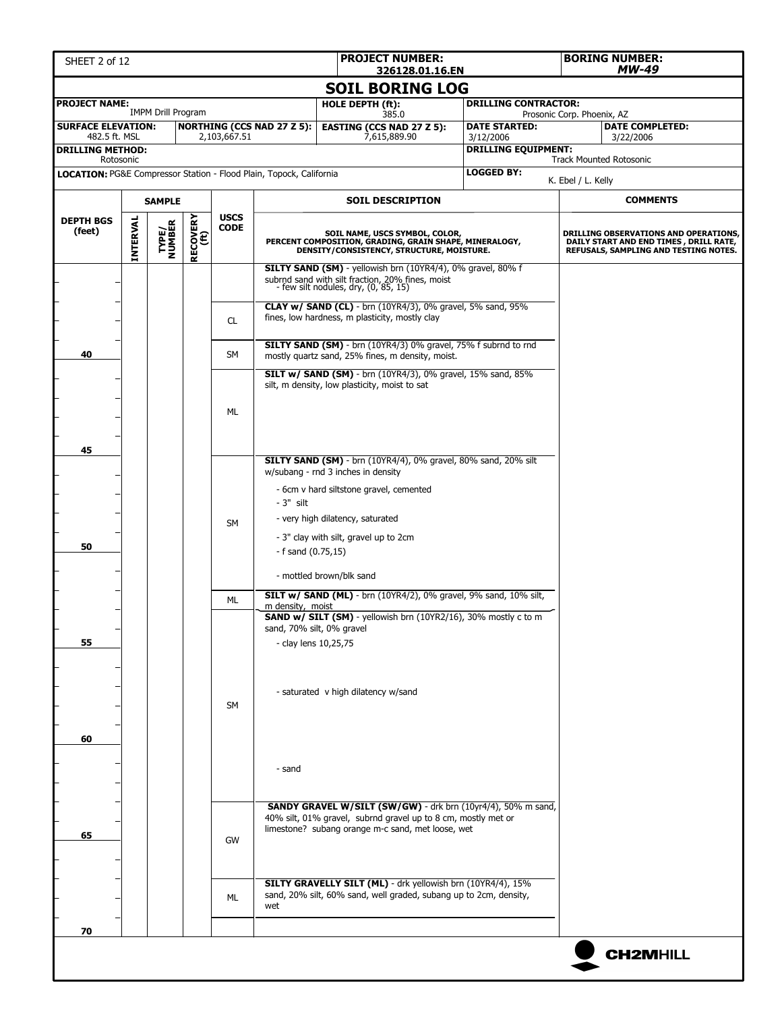| SHEET 2 of 12                                                                    |          |                           |                  |              |                                   | <b>PROJECT NUMBER:</b><br><b>BORING NUMBER:</b><br>MW-49<br>326128.01.16.EN                                                                               |  |                                                                         |                            |                                                                                                                          |
|----------------------------------------------------------------------------------|----------|---------------------------|------------------|--------------|-----------------------------------|-----------------------------------------------------------------------------------------------------------------------------------------------------------|--|-------------------------------------------------------------------------|----------------------------|--------------------------------------------------------------------------------------------------------------------------|
|                                                                                  |          |                           |                  |              |                                   | <b>SOIL BORING LOG</b>                                                                                                                                    |  |                                                                         |                            |                                                                                                                          |
| <b>PROJECT NAME:</b>                                                             |          | <b>IMPM Drill Program</b> |                  |              |                                   | HOLE DEPTH (ft):                                                                                                                                          |  | <b>DRILLING CONTRACTOR:</b>                                             |                            |                                                                                                                          |
| <b>SURFACE ELEVATION:</b>                                                        |          |                           |                  |              | <b>NORTHING (CCS NAD 27 Z 5):</b> | 385.0<br><b>EASTING (CCS NAD 27 Z 5):</b>                                                                                                                 |  | <b>DATE STARTED:</b>                                                    | Prosonic Corp. Phoenix, AZ | <b>DATE COMPLETED:</b>                                                                                                   |
| 482.5 ft. MSL<br><b>DRILLING METHOD:</b>                                         |          |                           |                  | 2,103,667.51 |                                   | 7,615,889.90                                                                                                                                              |  | 3/12/2006<br><b>DRILLING EQUIPMENT:</b>                                 |                            | 3/22/2006                                                                                                                |
| Rotosonic<br>LOCATION: PG&E Compressor Station - Flood Plain, Topock, California |          |                           |                  |              |                                   |                                                                                                                                                           |  | <b>LOGGED BY:</b>                                                       |                            | <b>Track Mounted Rotosonic</b>                                                                                           |
|                                                                                  |          |                           |                  |              |                                   |                                                                                                                                                           |  |                                                                         | K. Ebel / L. Kelly         |                                                                                                                          |
|                                                                                  |          | <b>SAMPLE</b>             |                  | <b>USCS</b>  |                                   | <b>SOIL DESCRIPTION</b>                                                                                                                                   |  |                                                                         |                            | <b>COMMENTS</b>                                                                                                          |
| <b>DEPTH BGS</b><br>(feet)                                                       | INTERVAL | <b>TYPE/<br/>NUMBER</b>   | RECOVERY<br>(ft) | <b>CODE</b>  |                                   | SOIL NAME, USCS SYMBOL, COLOR,<br>PERCENT COMPOSITION, GRADING, GRAIN SHAPE, MINERALOGY,<br>DENSITY/CONSISTENCY, STRUCTURE, MOISTURE.                     |  |                                                                         |                            | DRILLING OBSERVATIONS AND OPERATIONS,<br>DAILY START AND END TIMES, DRILL RATE,<br>REFUSALS, SAMPLING AND TESTING NOTES. |
|                                                                                  |          |                           |                  |              |                                   | SILTY SAND (SM) - yellowish brn (10YR4/4), 0% gravel, 80% f<br>subrnd sand with silt fraction, 20% fines, moist<br>- few silt nodules, dry, $(0, 85, 15)$ |  |                                                                         |                            |                                                                                                                          |
|                                                                                  |          |                           |                  | CL.          |                                   | <b>CLAY w/ SAND (CL)</b> - brn (10YR4/3), 0% gravel, 5% sand, 95%<br>fines, low hardness, m plasticity, mostly clay                                       |  |                                                                         |                            |                                                                                                                          |
| 40                                                                               |          |                           |                  | SM           |                                   | SILTY SAND (SM) - brn (10YR4/3) 0% gravel, 75% f subrnd to rnd<br>mostly quartz sand, 25% fines, m density, moist.                                        |  |                                                                         |                            |                                                                                                                          |
|                                                                                  |          |                           |                  |              |                                   | <b>SILT w/ SAND (SM)</b> - brn (10YR4/3), 0% gravel, 15% sand, 85%<br>silt, m density, low plasticity, moist to sat                                       |  |                                                                         |                            |                                                                                                                          |
|                                                                                  |          |                           |                  | ML           |                                   |                                                                                                                                                           |  |                                                                         |                            |                                                                                                                          |
| 45                                                                               |          |                           |                  |              |                                   | <b>SILTY SAND (SM)</b> - brn (10YR4/4), 0% gravel, 80% sand, 20% silt<br>w/subang - rnd 3 inches in density                                               |  |                                                                         |                            |                                                                                                                          |
|                                                                                  |          |                           |                  |              | $-3"$ silt                        | - 6cm v hard siltstone gravel, cemented                                                                                                                   |  |                                                                         |                            |                                                                                                                          |
|                                                                                  |          |                           |                  | <b>SM</b>    |                                   | - very high dilatency, saturated                                                                                                                          |  |                                                                         |                            |                                                                                                                          |
| 50                                                                               |          |                           |                  |              | $-$ f sand $(0.75, 15)$           | - 3" clay with silt, gravel up to 2cm                                                                                                                     |  |                                                                         |                            |                                                                                                                          |
|                                                                                  |          |                           |                  |              |                                   | - mottled brown/blk sand                                                                                                                                  |  |                                                                         |                            |                                                                                                                          |
|                                                                                  |          |                           |                  | ML           | m density, moist                  |                                                                                                                                                           |  | <b>SILT w/ SAND (ML)</b> - brn (10YR4/2), 0% gravel, 9% sand, 10% silt, |                            |                                                                                                                          |
|                                                                                  |          |                           |                  |              | sand, 70% silt, 0% gravel         | SAND w/ SILT (SM) - yellowish brn (10YR2/16), 30% mostly c to m                                                                                           |  |                                                                         |                            |                                                                                                                          |
| 55                                                                               |          |                           |                  |              | - clay lens 10,25,75              |                                                                                                                                                           |  |                                                                         |                            |                                                                                                                          |
|                                                                                  |          |                           |                  |              |                                   |                                                                                                                                                           |  |                                                                         |                            |                                                                                                                          |
|                                                                                  |          |                           |                  | <b>SM</b>    |                                   | - saturated v high dilatency w/sand                                                                                                                       |  |                                                                         |                            |                                                                                                                          |
|                                                                                  |          |                           |                  |              |                                   |                                                                                                                                                           |  |                                                                         |                            |                                                                                                                          |
| 60                                                                               |          |                           |                  |              |                                   |                                                                                                                                                           |  |                                                                         |                            |                                                                                                                          |
|                                                                                  |          |                           |                  |              | - sand                            |                                                                                                                                                           |  |                                                                         |                            |                                                                                                                          |
|                                                                                  |          |                           |                  |              |                                   |                                                                                                                                                           |  |                                                                         |                            |                                                                                                                          |
| 65                                                                               |          |                           |                  |              |                                   | 40% silt, 01% gravel, subrnd gravel up to 8 cm, mostly met or<br>limestone? subang orange m-c sand, met loose, wet                                        |  | SANDY GRAVEL W/SILT (SW/GW) - drk brn (10yr4/4), 50% m sand,            |                            |                                                                                                                          |
|                                                                                  |          |                           |                  | GW           |                                   |                                                                                                                                                           |  |                                                                         |                            |                                                                                                                          |
|                                                                                  |          |                           |                  | <b>ML</b>    | wet                               | SILTY GRAVELLY SILT (ML) - drk yellowish brn (10YR4/4), 15%<br>sand, 20% silt, 60% sand, well graded, subang up to 2cm, density,                          |  |                                                                         |                            |                                                                                                                          |
| 70                                                                               |          |                           |                  |              |                                   |                                                                                                                                                           |  |                                                                         |                            |                                                                                                                          |
|                                                                                  |          |                           |                  |              |                                   |                                                                                                                                                           |  |                                                                         |                            | <b>CH2MHILL</b>                                                                                                          |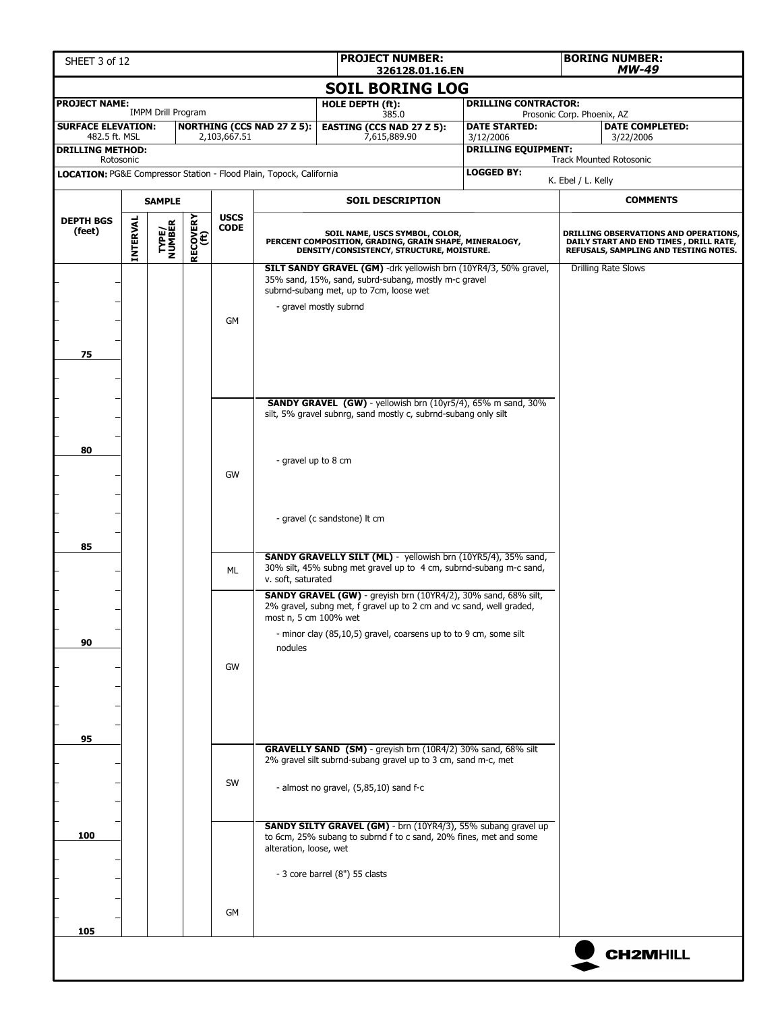| SHEET 3 of 12                                                       |                 |                           |                  |                            |                                   | <b>PROJECT NUMBER:</b><br><b>BORING NUMBER:</b><br>326128.01.16.EN                                                                                                                                               |                                         |                            | MW-49                                                                                                                     |
|---------------------------------------------------------------------|-----------------|---------------------------|------------------|----------------------------|-----------------------------------|------------------------------------------------------------------------------------------------------------------------------------------------------------------------------------------------------------------|-----------------------------------------|----------------------------|---------------------------------------------------------------------------------------------------------------------------|
|                                                                     |                 |                           |                  |                            |                                   | <b>SOIL BORING LOG</b>                                                                                                                                                                                           |                                         |                            |                                                                                                                           |
| <b>PROJECT NAME:</b>                                                |                 |                           |                  |                            |                                   | HOLE DEPTH (ft):                                                                                                                                                                                                 | <b>DRILLING CONTRACTOR:</b>             |                            |                                                                                                                           |
| <b>SURFACE ELEVATION:</b>                                           |                 | <b>IMPM Drill Program</b> |                  |                            | <b>NORTHING (CCS NAD 27 Z 5):</b> | 385.0<br><b>EASTING (CCS NAD 27 Z 5):</b>                                                                                                                                                                        | <b>DATE STARTED:</b>                    | Prosonic Corp. Phoenix, AZ | <b>DATE COMPLETED:</b>                                                                                                    |
| 482.5 ft. MSL<br><b>DRILLING METHOD:</b>                            |                 |                           |                  | 2,103,667.51               |                                   | 7,615,889.90                                                                                                                                                                                                     | 3/12/2006<br><b>DRILLING EQUIPMENT:</b> |                            | 3/22/2006                                                                                                                 |
| Rotosonic                                                           |                 |                           |                  |                            |                                   |                                                                                                                                                                                                                  |                                         |                            | <b>Track Mounted Rotosonic</b>                                                                                            |
| LOCATION: PG&E Compressor Station - Flood Plain, Topock, California |                 |                           |                  |                            |                                   |                                                                                                                                                                                                                  | <b>LOGGED BY:</b>                       | K. Ebel / L. Kelly         |                                                                                                                           |
|                                                                     |                 | <b>SAMPLE</b>             |                  |                            |                                   | <b>SOIL DESCRIPTION</b>                                                                                                                                                                                          |                                         |                            | <b>COMMENTS</b>                                                                                                           |
| <b>DEPTH BGS</b><br>(feet)                                          | <b>INTERVAL</b> | <b>TYPE/<br/>NUMBER</b>   | RECOVERY<br>(ft) | <b>USCS</b><br><b>CODE</b> |                                   | SOIL NAME, USCS SYMBOL, COLOR,<br>PERCENT COMPOSITION, GRADING, GRAIN SHAPE, MINERALOGY, DENSITY/CONSISTENCY, STRUCTURE, MOISTURE.                                                                               |                                         |                            | DRILLING OBSERVATIONS AND OPERATIONS,<br>DAILY START AND END TIMES , DRILL RATE,<br>REFUSALS, SAMPLING AND TESTING NOTES. |
| 75                                                                  |                 |                           |                  | <b>GM</b>                  |                                   | SILT SANDY GRAVEL (GM) -drk yellowish brn (10YR4/3, 50% gravel,<br>35% sand, 15%, sand, subrd-subang, mostly m-c gravel<br>subrnd-subang met, up to 7cm, loose wet<br>- gravel mostly subrnd                     |                                         |                            | <b>Drilling Rate Slows</b>                                                                                                |
|                                                                     |                 |                           |                  |                            |                                   | <b>SANDY GRAVEL (GW)</b> - yellowish brn (10yr5/4), 65% m sand, 30%<br>silt, 5% gravel subnrg, sand mostly c, subrnd-subang only silt                                                                            |                                         |                            |                                                                                                                           |
| 80                                                                  |                 |                           |                  | GW                         | - gravel up to 8 cm               | - gravel (c sandstone) It cm                                                                                                                                                                                     |                                         |                            |                                                                                                                           |
| 85                                                                  |                 |                           |                  | ML                         | v. soft, saturated                | <b>SANDY GRAVELLY SILT (ML)</b> - yellowish brn (10YR5/4), 35% sand,<br>30% silt, 45% subng met gravel up to 4 cm, subrnd-subang m-c sand,                                                                       |                                         |                            |                                                                                                                           |
| 90                                                                  |                 |                           |                  | GW                         | most n, 5 cm 100% wet<br>nodules  | <b>SANDY GRAVEL (GW)</b> - greyish brn (10YR4/2), 30% sand, 68% silt,<br>2% gravel, subng met, f gravel up to 2 cm and vc sand, well graded,<br>- minor clay (85,10,5) gravel, coarsens up to to 9 cm, some silt |                                         |                            |                                                                                                                           |
| 95                                                                  |                 |                           |                  | SW                         |                                   | GRAVELLY SAND (SM) - greyish brn (10R4/2) 30% sand, 68% silt<br>2% gravel silt subrnd-subang gravel up to 3 cm, sand m-c, met<br>- almost no gravel, (5,85,10) sand f-c                                          |                                         |                            |                                                                                                                           |
| 100                                                                 |                 |                           |                  |                            | alteration, loose, wet            | <b>SANDY SILTY GRAVEL (GM)</b> - brn (10YR4/3), 55% subang gravel up<br>to 6cm, 25% subang to subrnd f to c sand, 20% fines, met and some<br>- 3 core barrel (8") 55 clasts                                      |                                         |                            |                                                                                                                           |
| 105                                                                 |                 |                           |                  | GM                         |                                   |                                                                                                                                                                                                                  |                                         |                            |                                                                                                                           |
|                                                                     |                 |                           |                  |                            |                                   |                                                                                                                                                                                                                  |                                         |                            | <b>CH2MHILL</b>                                                                                                           |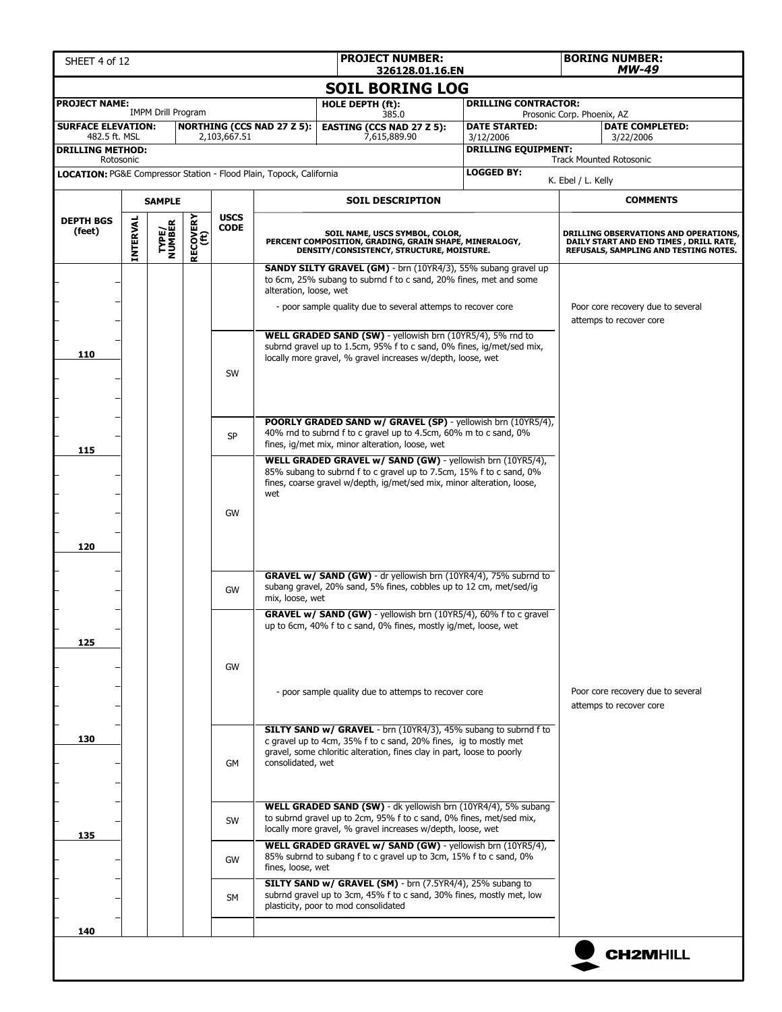| SHEET 4 of 12                        |          |                           |                         |              |                                                                     | <b>PROJECT NUMBER:</b><br>326128.01.16.EN                                                                                                                                                                                                                |                             | <b>BORING NUMBER:</b><br>MW-49                                                                                                  |
|--------------------------------------|----------|---------------------------|-------------------------|--------------|---------------------------------------------------------------------|----------------------------------------------------------------------------------------------------------------------------------------------------------------------------------------------------------------------------------------------------------|-----------------------------|---------------------------------------------------------------------------------------------------------------------------------|
|                                      |          |                           |                         |              |                                                                     | <b>SOIL BORING LOG</b>                                                                                                                                                                                                                                   |                             |                                                                                                                                 |
| <b>PROJECT NAME:</b>                 |          |                           |                         |              |                                                                     | HOLE DEPTH (ft):                                                                                                                                                                                                                                         | <b>DRILLING CONTRACTOR:</b> |                                                                                                                                 |
| <b>SURFACE ELEVATION:</b>            |          | <b>IMPM Drill Program</b> |                         |              | <b>NORTHING (CCS NAD 27 Z 5):</b>                                   | 385.0<br><b>EASTING (CCS NAD 27 Z 5):</b>                                                                                                                                                                                                                | <b>DATE STARTED:</b>        | Prosonic Corp. Phoenix, AZ<br><b>DATE COMPLETED:</b>                                                                            |
| 482.5 ft. MSL                        |          |                           |                         | 2,103,667.51 |                                                                     | 7,615,889.90                                                                                                                                                                                                                                             | 3/12/2006                   | 3/22/2006                                                                                                                       |
| <b>DRILLING METHOD:</b><br>Rotosonic |          |                           |                         |              |                                                                     |                                                                                                                                                                                                                                                          | <b>DRILLING EQUIPMENT:</b>  | <b>Track Mounted Rotosonic</b>                                                                                                  |
|                                      |          |                           |                         |              | LOCATION: PG&E Compressor Station - Flood Plain, Topock, California |                                                                                                                                                                                                                                                          | <b>LOGGED BY:</b>           | K. Ebel / L. Kelly                                                                                                              |
|                                      |          | <b>SAMPLE</b>             |                         |              |                                                                     | <b>SOIL DESCRIPTION</b>                                                                                                                                                                                                                                  |                             | <b>COMMENTS</b>                                                                                                                 |
| <b>DEPTH BGS</b>                     |          |                           |                         | <b>USCS</b>  |                                                                     |                                                                                                                                                                                                                                                          |                             |                                                                                                                                 |
| (feet)                               | INTERVAL | <b>TYPE/<br/>NUMBER</b>   | <b>RECOVERY</b><br>(ft) | <b>CODE</b>  |                                                                     | SOIL NAME, USCS SYMBOL, COLOR,<br>PERCENT COMPOSITION, GRADING, GRAIN SHAPE, MINERALOGY,<br>DENSITY/CONSISTENCY, STRUCTURE, MOISTURE.                                                                                                                    |                             | <b>DRILLING OBSERVATIONS AND OPERATIONS,</b><br>DAILY START AND END TIMES, DRILL RATE,<br>REFUSALS, SAMPLING AND TESTING NOTES. |
|                                      |          |                           |                         |              | alteration, loose, wet                                              | SANDY SILTY GRAVEL (GM) - brn (10YR4/3), 55% subang gravel up<br>to 6cm, 25% subang to subrnd f to c sand, 20% fines, met and some<br>- poor sample quality due to several attemps to recover core                                                       |                             | Poor core recovery due to several                                                                                               |
| 110                                  |          |                           |                         | SW           |                                                                     | WELL GRADED SAND (SW) - yellowish brn (10YR5/4), 5% rnd to<br>subrnd gravel up to 1.5cm, 95% f to c sand, 0% fines, ig/met/sed mix,<br>locally more gravel, % gravel increases w/depth, loose, wet                                                       | attemps to recover core     |                                                                                                                                 |
| 115                                  |          |                           |                         | <b>SP</b>    |                                                                     | <b>POORLY GRADED SAND w/ GRAVEL (SP)</b> - yellowish brn (10YR5/4),<br>40% rnd to subrnd f to c gravel up to 4.5cm, 60% m to c sand, 0%<br>fines, ig/met mix, minor alteration, loose, wet<br>WELL GRADED GRAVEL w/ SAND (GW) - yellowish brn (10YR5/4), |                             |                                                                                                                                 |
| 120                                  |          |                           |                         | GW           | wet                                                                 | 85% subang to subrnd f to c gravel up to 7.5cm, 15% f to c sand, 0%<br>fines, coarse gravel w/depth, ig/met/sed mix, minor alteration, loose,                                                                                                            |                             |                                                                                                                                 |
|                                      |          |                           |                         | GW           | mix, loose, wet                                                     | <b>GRAVEL w/ SAND (GW)</b> - dr yellowish brn (10YR4/4), 75% subrnd to<br>subang gravel, 20% sand, 5% fines, cobbles up to 12 cm, met/sed/ig                                                                                                             |                             |                                                                                                                                 |
| 125                                  |          |                           |                         | GW           |                                                                     | GRAVEL w/ SAND (GW) - yellowish brn (10YR5/4), 60% f to c gravel<br>up to 6cm, 40% f to c sand, 0% fines, mostly ig/met, loose, wet                                                                                                                      |                             |                                                                                                                                 |
|                                      |          |                           |                         |              |                                                                     | - poor sample quality due to attemps to recover core                                                                                                                                                                                                     |                             | Poor core recovery due to several<br>attemps to recover core                                                                    |
| 130                                  |          |                           |                         | GM           | consolidated, wet                                                   | <b>SILTY SAND w/ GRAVEL</b> - brn (10YR4/3), 45% subang to subrnd f to<br>c gravel up to 4cm, 35% f to c sand, 20% fines, ig to mostly met<br>gravel, some chloritic alteration, fines clay in part, loose to poorly                                     |                             |                                                                                                                                 |
| 135                                  |          |                           |                         | SW           |                                                                     | WELL GRADED SAND (SW) - dk yellowish brn (10YR4/4), 5% subang<br>to subrnd gravel up to 2cm, 95% f to c sand, 0% fines, met/sed mix,<br>locally more gravel, % gravel increases w/depth, loose, wet                                                      |                             |                                                                                                                                 |
|                                      |          |                           |                         | GW           | fines, loose, wet                                                   | WELL GRADED GRAVEL w/ SAND (GW) - yellowish brn (10YR5/4),<br>85% subrnd to subang f to c gravel up to 3cm, 15% f to c sand, 0%                                                                                                                          |                             |                                                                                                                                 |
|                                      |          |                           |                         | <b>SM</b>    |                                                                     | SILTY SAND w/ GRAVEL (SM) - brn (7.5YR4/4), 25% subang to<br>subrnd gravel up to 3cm, 45% f to c sand, 30% fines, mostly met, low<br>plasticity, poor to mod consolidated                                                                                |                             |                                                                                                                                 |
| 140                                  |          |                           |                         |              |                                                                     |                                                                                                                                                                                                                                                          |                             |                                                                                                                                 |
|                                      |          |                           |                         |              |                                                                     |                                                                                                                                                                                                                                                          |                             | <b>CH2MHILL</b>                                                                                                                 |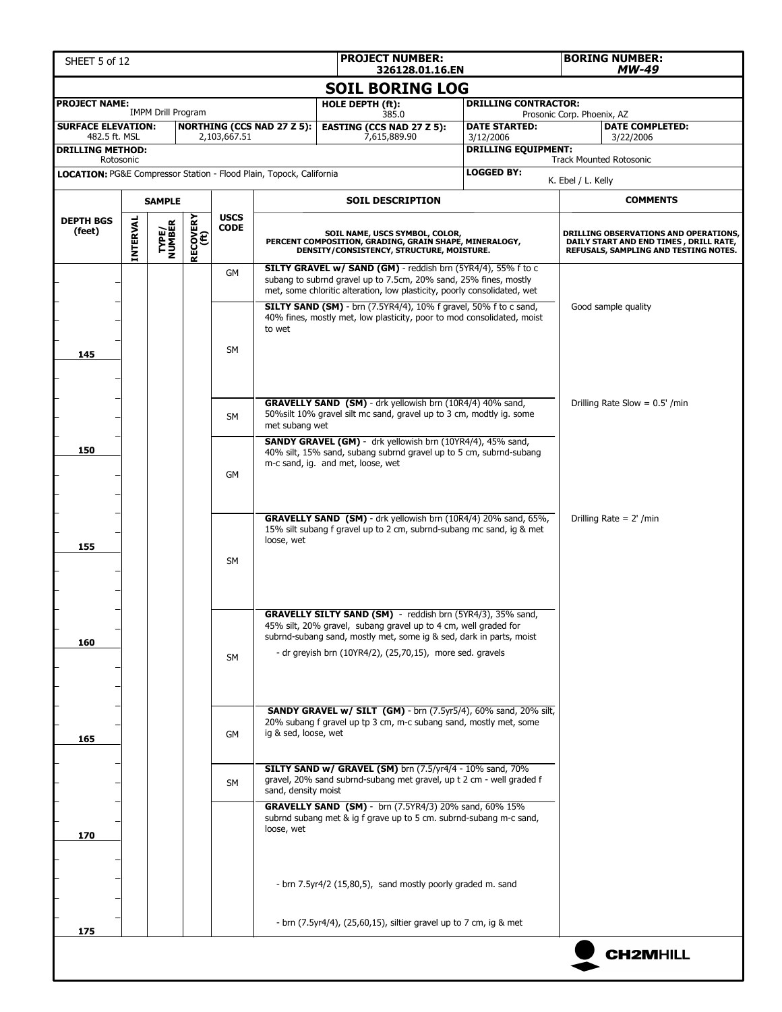| <b>PROJECT NUMBER:</b><br>SHEET 5 of 12<br>326128.01.16.EN          |                 |                           |                         |                            |                                   |                                                                                                                                                                                                                                                                   |                                         | <b>BORING NUMBER:</b><br><b>MW-49</b> |                                                                                                                          |
|---------------------------------------------------------------------|-----------------|---------------------------|-------------------------|----------------------------|-----------------------------------|-------------------------------------------------------------------------------------------------------------------------------------------------------------------------------------------------------------------------------------------------------------------|-----------------------------------------|---------------------------------------|--------------------------------------------------------------------------------------------------------------------------|
|                                                                     |                 |                           |                         |                            |                                   | <b>SOIL BORING LOG</b>                                                                                                                                                                                                                                            |                                         |                                       |                                                                                                                          |
| <b>PROJECT NAME:</b>                                                |                 |                           |                         |                            |                                   | HOLE DEPTH (ft):                                                                                                                                                                                                                                                  | <b>DRILLING CONTRACTOR:</b>             |                                       |                                                                                                                          |
| <b>SURFACE ELEVATION:</b>                                           |                 | <b>IMPM Drill Program</b> |                         |                            | <b>NORTHING (CCS NAD 27 Z 5):</b> | 385.0<br><b>EASTING (CCS NAD 27 Z 5):</b>                                                                                                                                                                                                                         | <b>DATE STARTED:</b>                    | Prosonic Corp. Phoenix, AZ            | <b>DATE COMPLETED:</b>                                                                                                   |
| 482.5 ft. MSL<br><b>DRILLING METHOD:</b>                            |                 |                           |                         | 2,103,667.51               |                                   | 7,615,889.90                                                                                                                                                                                                                                                      | 3/12/2006<br><b>DRILLING EQUIPMENT:</b> |                                       | 3/22/2006                                                                                                                |
| Rotosonic                                                           |                 |                           |                         |                            |                                   |                                                                                                                                                                                                                                                                   |                                         |                                       | <b>Track Mounted Rotosonic</b>                                                                                           |
| LOCATION: PG&E Compressor Station - Flood Plain, Topock, California |                 |                           |                         |                            |                                   |                                                                                                                                                                                                                                                                   | <b>LOGGED BY:</b>                       | K. Ebel / L. Kelly                    |                                                                                                                          |
|                                                                     |                 | <b>SAMPLE</b>             |                         |                            |                                   | <b>SOIL DESCRIPTION</b>                                                                                                                                                                                                                                           |                                         |                                       | <b>COMMENTS</b>                                                                                                          |
| <b>DEPTH BGS</b><br>(feet)                                          | <b>INTERVAL</b> | TYPE/<br>NUMBER           | <b>RECOVERY</b><br>(ft) | <b>USCS</b><br><b>CODE</b> |                                   | SOIL NAME, USCS SYMBOL, COLOR,<br>PERCENT COMPOSITION, GRADING, GRAIN SHAPE, MINERALOGY,<br>DENSITY/CONSISTENCY, STRUCTURE, MOISTURE.                                                                                                                             |                                         |                                       | DRILLING OBSERVATIONS AND OPERATIONS,<br>DAILY START AND END TIMES, DRILL RATE,<br>REFUSALS, SAMPLING AND TESTING NOTES. |
|                                                                     |                 |                           |                         | GM                         |                                   | SILTY GRAVEL w/ SAND (GM) - reddish brn (5YR4/4), 55% f to c<br>subang to subrnd gravel up to 7.5cm, 20% sand, 25% fines, mostly<br>met, some chloritic alteration, low plasticity, poorly consolidated, wet                                                      |                                         |                                       |                                                                                                                          |
|                                                                     |                 |                           |                         | <b>SM</b>                  | to wet                            | SILTY SAND (SM) - brn (7.5YR4/4), 10% f gravel, 50% f to c sand,<br>40% fines, mostly met, low plasticity, poor to mod consolidated, moist                                                                                                                        |                                         |                                       | Good sample quality                                                                                                      |
| 145                                                                 |                 |                           |                         |                            |                                   |                                                                                                                                                                                                                                                                   |                                         |                                       |                                                                                                                          |
|                                                                     |                 |                           |                         | <b>SM</b>                  | met subang wet                    | GRAVELLY SAND (SM) - drk yellowish brn (10R4/4) 40% sand,<br>50% silt 10% gravel silt mc sand, gravel up to 3 cm, modtly ig. some                                                                                                                                 |                                         |                                       | Drilling Rate Slow = $0.5'$ /min                                                                                         |
| 150                                                                 |                 |                           |                         | GM                         |                                   | SANDY GRAVEL (GM) - drk yellowish brn (10YR4/4), 45% sand,<br>40% silt, 15% sand, subang subrnd gravel up to 5 cm, subrnd-subang<br>m-c sand, ig. and met, loose, wet                                                                                             |                                         |                                       |                                                                                                                          |
| 155                                                                 |                 |                           |                         | <b>SM</b>                  | loose, wet                        | GRAVELLY SAND (SM) - drk yellowish brn (10R4/4) 20% sand, 65%,<br>15% silt subang f gravel up to 2 cm, subrnd-subang mc sand, ig & met                                                                                                                            |                                         |                                       | Drilling Rate = $2'$ /min                                                                                                |
| 160                                                                 |                 |                           |                         | <b>SM</b>                  |                                   | GRAVELLY SILTY SAND (SM) - reddish brn (5YR4/3), 35% sand,<br>45% silt, 20% gravel, subang gravel up to 4 cm, well graded for<br>subrnd-subang sand, mostly met, some ig & sed, dark in parts, moist<br>- dr greyish brn (10YR4/2), (25,70,15), more sed. gravels |                                         |                                       |                                                                                                                          |
| 165                                                                 |                 |                           |                         | GM                         | ig & sed, loose, wet              | SANDY GRAVEL w/ SILT (GM) - brn (7.5yr5/4), 60% sand, 20% silt,<br>20% subang f gravel up tp 3 cm, m-c subang sand, mostly met, some                                                                                                                              |                                         |                                       |                                                                                                                          |
|                                                                     |                 |                           |                         | SM                         | sand, density moist               | SILTY SAND w/ GRAVEL (SM) brn (7.5/yr4/4 - 10% sand, 70%<br>gravel, 20% sand subrnd-subang met gravel, up t 2 cm - well graded f                                                                                                                                  |                                         |                                       |                                                                                                                          |
| 170                                                                 |                 |                           |                         |                            | loose, wet                        | GRAVELLY SAND (SM) - brn (7.5YR4/3) 20% sand, 60% 15%<br>subrnd subang met & ig f grave up to 5 cm. subrnd-subang m-c sand,                                                                                                                                       |                                         |                                       |                                                                                                                          |
|                                                                     |                 |                           |                         |                            |                                   | - brn 7.5yr4/2 (15,80,5), sand mostly poorly graded m. sand                                                                                                                                                                                                       |                                         |                                       |                                                                                                                          |
| 175                                                                 |                 |                           |                         |                            |                                   | - brn (7.5yr4/4), (25,60,15), siltier gravel up to 7 cm, ig & met                                                                                                                                                                                                 |                                         |                                       |                                                                                                                          |
|                                                                     |                 |                           |                         |                            |                                   |                                                                                                                                                                                                                                                                   |                                         |                                       | <b>CH2MHILL</b>                                                                                                          |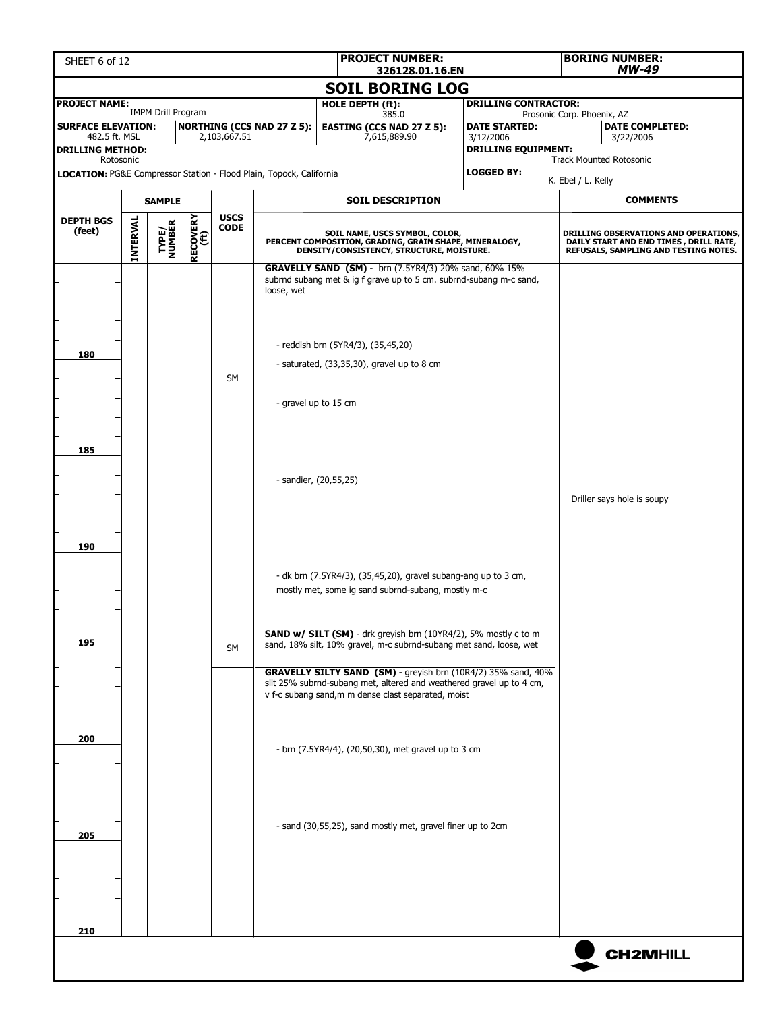| <b>PROJECT NUMBER:</b><br>SHEET 6 of 12<br>326128.01.16.EN                       |                 |                           |                  |              |                                   |                                                                                                                                                                                                        |  |                                         | <b>BORING NUMBER:</b><br><b>MW-49</b> |                                                                                                                                  |
|----------------------------------------------------------------------------------|-----------------|---------------------------|------------------|--------------|-----------------------------------|--------------------------------------------------------------------------------------------------------------------------------------------------------------------------------------------------------|--|-----------------------------------------|---------------------------------------|----------------------------------------------------------------------------------------------------------------------------------|
|                                                                                  |                 |                           |                  |              |                                   | <b>SOIL BORING LOG</b>                                                                                                                                                                                 |  |                                         |                                       |                                                                                                                                  |
| <b>PROJECT NAME:</b>                                                             |                 | <b>IMPM Drill Program</b> |                  |              |                                   | HOLE DEPTH (ft):                                                                                                                                                                                       |  | <b>DRILLING CONTRACTOR:</b>             |                                       |                                                                                                                                  |
| <b>SURFACE ELEVATION:</b>                                                        |                 |                           |                  |              | <b>NORTHING (CCS NAD 27 Z 5):</b> | 385.0<br><b>EASTING (CCS NAD 27 Z 5):</b>                                                                                                                                                              |  | <b>DATE STARTED:</b>                    | Prosonic Corp. Phoenix, AZ            | <b>DATE COMPLETED:</b>                                                                                                           |
| 482.5 ft. MSL<br><b>DRILLING METHOD:</b>                                         |                 |                           |                  | 2,103,667.51 |                                   | 7,615,889.90                                                                                                                                                                                           |  | 3/12/2006<br><b>DRILLING EQUIPMENT:</b> |                                       | 3/22/2006                                                                                                                        |
| Rotosonic<br>LOCATION: PG&E Compressor Station - Flood Plain, Topock, California |                 |                           |                  |              |                                   |                                                                                                                                                                                                        |  | <b>LOGGED BY:</b>                       |                                       | <b>Track Mounted Rotosonic</b>                                                                                                   |
|                                                                                  |                 |                           |                  |              |                                   |                                                                                                                                                                                                        |  |                                         | K. Ebel / L. Kelly                    |                                                                                                                                  |
|                                                                                  |                 | <b>SAMPLE</b>             |                  | <b>USCS</b>  |                                   | <b>SOIL DESCRIPTION</b>                                                                                                                                                                                |  |                                         |                                       | <b>COMMENTS</b>                                                                                                                  |
| <b>DEPTH BGS</b><br>(feet)                                                       | <b>INTERVAL</b> | TYPE/<br>NUMBER           | RECOVERY<br>(ft) | <b>CODE</b>  |                                   | SOIL NAME, USCS SYMBOL, COLOR,<br>PERCENT COMPOSITION, GRADING, GRAIN SHAPE, MINERALOGY,<br>DENSITY/CONSISTENCY, STRUCTURE, MOISTURE.                                                                  |  |                                         |                                       | <b>DRILLING OBSERVATIONS AND OPERATIONS,</b><br>DAILY START AND END TIMES , DRILL RATE,<br>REFUSALS, SAMPLING AND TESTING NOTES. |
|                                                                                  |                 |                           |                  |              | loose, wet                        | GRAVELLY SAND (SM) - brn (7.5YR4/3) 20% sand, 60% 15%<br>subrnd subang met & ig f grave up to 5 cm. subrnd-subang m-c sand,<br>- reddish brn (5YR4/3), (35,45,20)                                      |  |                                         |                                       |                                                                                                                                  |
| 180                                                                              |                 |                           |                  | <b>SM</b>    |                                   | - saturated, $(33,35,30)$ , gravel up to 8 cm                                                                                                                                                          |  |                                         |                                       |                                                                                                                                  |
|                                                                                  |                 |                           |                  |              | - gravel up to 15 cm              |                                                                                                                                                                                                        |  |                                         |                                       |                                                                                                                                  |
| 185                                                                              |                 |                           |                  |              |                                   | - sandier, (20,55,25)                                                                                                                                                                                  |  | Driller says hole is soupy              |                                       |                                                                                                                                  |
| 190                                                                              |                 |                           |                  |              |                                   | - dk brn (7.5YR4/3), (35,45,20), gravel subang-ang up to 3 cm,<br>mostly met, some ig sand subrnd-subang, mostly m-c                                                                                   |  |                                         |                                       |                                                                                                                                  |
| 195                                                                              |                 |                           |                  | SM           |                                   | SAND w/ SILT (SM) - drk greyish brn (10YR4/2), 5% mostly c to m<br>sand, 18% silt, 10% gravel, m-c subrnd-subang met sand, loose, wet<br>GRAVELLY SILTY SAND (SM) - greyish brn (10R4/2) 35% sand, 40% |  |                                         |                                       |                                                                                                                                  |
|                                                                                  |                 |                           |                  |              |                                   | silt 25% subrnd-subang met, altered and weathered gravel up to 4 cm,<br>v f-c subang sand, m m dense clast separated, moist                                                                            |  |                                         |                                       |                                                                                                                                  |
| 200                                                                              |                 |                           |                  |              |                                   | - brn (7.5YR4/4), (20,50,30), met gravel up to 3 cm                                                                                                                                                    |  |                                         |                                       |                                                                                                                                  |
| 205                                                                              |                 |                           |                  |              |                                   | - sand (30,55,25), sand mostly met, gravel finer up to 2cm                                                                                                                                             |  |                                         |                                       |                                                                                                                                  |
| 210                                                                              |                 |                           |                  |              |                                   |                                                                                                                                                                                                        |  |                                         |                                       |                                                                                                                                  |
|                                                                                  |                 |                           |                  |              |                                   |                                                                                                                                                                                                        |  |                                         |                                       | <b>CH2MHILL</b>                                                                                                                  |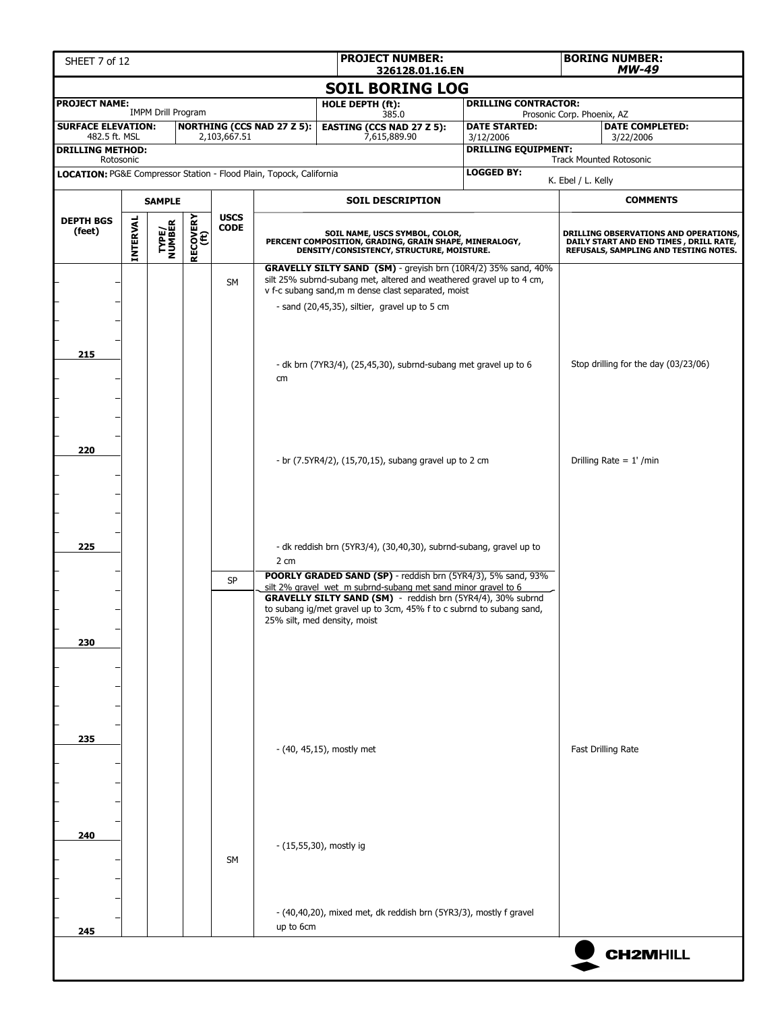| <b>PROJECT NUMBER:</b><br>SHEET 7 of 12<br>326128.01.16.EN                     |                        |                           |                  |                            |                                   |                                                                                                                                                                                                                                                                                                      |                                         |                            | <b>BORING NUMBER:</b><br><b>MW-49</b>                                                                                     |  |  |  |
|--------------------------------------------------------------------------------|------------------------|---------------------------|------------------|----------------------------|-----------------------------------|------------------------------------------------------------------------------------------------------------------------------------------------------------------------------------------------------------------------------------------------------------------------------------------------------|-----------------------------------------|----------------------------|---------------------------------------------------------------------------------------------------------------------------|--|--|--|
|                                                                                | <b>SOIL BORING LOG</b> |                           |                  |                            |                                   |                                                                                                                                                                                                                                                                                                      |                                         |                            |                                                                                                                           |  |  |  |
| <b>PROJECT NAME:</b>                                                           |                        |                           |                  |                            |                                   | <b>HOLE DEPTH (ft):</b>                                                                                                                                                                                                                                                                              | <b>DRILLING CONTRACTOR:</b>             |                            |                                                                                                                           |  |  |  |
| <b>SURFACE ELEVATION:</b>                                                      |                        | <b>IMPM Drill Program</b> |                  |                            | <b>NORTHING (CCS NAD 27 Z 5):</b> | 385.0<br><b>EASTING (CCS NAD 27 Z 5):</b>                                                                                                                                                                                                                                                            | <b>DATE STARTED:</b>                    | Prosonic Corp. Phoenix, AZ | <b>DATE COMPLETED:</b>                                                                                                    |  |  |  |
| 482.5 ft. MSL<br><b>DRILLING METHOD:</b>                                       |                        |                           |                  | 2,103,667.51               |                                   | 7,615,889.90                                                                                                                                                                                                                                                                                         | 3/12/2006<br><b>DRILLING EQUIPMENT:</b> |                            | 3/22/2006                                                                                                                 |  |  |  |
| Rotosonic                                                                      |                        |                           |                  |                            |                                   |                                                                                                                                                                                                                                                                                                      |                                         |                            | <b>Track Mounted Rotosonic</b>                                                                                            |  |  |  |
| <b>LOCATION: PG&amp;E Compressor Station - Flood Plain, Topock, California</b> |                        |                           |                  |                            |                                   |                                                                                                                                                                                                                                                                                                      | <b>LOGGED BY:</b>                       | K. Ebel / L. Kelly         |                                                                                                                           |  |  |  |
|                                                                                |                        | <b>SAMPLE</b>             |                  |                            |                                   | <b>SOIL DESCRIPTION</b>                                                                                                                                                                                                                                                                              |                                         |                            | <b>COMMENTS</b>                                                                                                           |  |  |  |
| <b>DEPTH BGS</b><br>(feet)                                                     | <b>INTERVAL</b>        | <b>TYPE/<br/>NUMBER</b>   | RECOVERY<br>(ft) | <b>USCS</b><br><b>CODE</b> |                                   | SOIL NAME, USCS SYMBOL, COLOR,<br>PERCENT COMPOSITION, GRADING, GRAIN SHAPE, MINERALOGY,<br>DENSITY/CONSISTENCY, STRUCTURE, MOISTURE.                                                                                                                                                                |                                         |                            | DRILLING OBSERVATIONS AND OPERATIONS,<br>DAILY START AND END TIMES , DRILL RATE,<br>REFUSALS, SAMPLING AND TESTING NOTES. |  |  |  |
|                                                                                |                        |                           |                  | <b>SM</b>                  |                                   | GRAVELLY SILTY SAND (SM) - greyish brn (10R4/2) 35% sand, 40%<br>silt 25% subrnd-subang met, altered and weathered gravel up to 4 cm,<br>v f-c subang sand, m m dense clast separated, moist<br>- sand (20,45,35), siltier, gravel up to 5 cm                                                        |                                         |                            |                                                                                                                           |  |  |  |
| 215                                                                            |                        |                           |                  |                            | cm                                | - dk brn (7YR3/4), (25,45,30), subrnd-subang met gravel up to 6                                                                                                                                                                                                                                      |                                         |                            | Stop drilling for the day (03/23/06)                                                                                      |  |  |  |
| 220                                                                            |                        |                           |                  |                            |                                   | - br (7.5YR4/2), (15,70,15), subang gravel up to 2 cm                                                                                                                                                                                                                                                |                                         |                            | Drilling Rate = $1'$ /min                                                                                                 |  |  |  |
| 225                                                                            |                        |                           |                  |                            | 2 cm                              | - dk reddish brn (5YR3/4), (30,40,30), subrnd-subang, gravel up to                                                                                                                                                                                                                                   |                                         |                            |                                                                                                                           |  |  |  |
| 230                                                                            |                        |                           |                  | <b>SP</b>                  |                                   | POORLY GRADED SAND (SP) - reddish brn (5YR4/3), 5% sand, 93%<br>silt 2% gravel wet m subrnd-subang met sand minor gravel to 6<br>GRAVELLY SILTY SAND (SM) - reddish brn (5YR4/4), 30% subrnd<br>to subang ig/met gravel up to 3cm, 45% f to c subrnd to subang sand,<br>25% silt, med density, moist |                                         |                            |                                                                                                                           |  |  |  |
| 235                                                                            |                        |                           |                  |                            |                                   | $-$ (40, 45,15), mostly met                                                                                                                                                                                                                                                                          |                                         |                            | <b>Fast Drilling Rate</b>                                                                                                 |  |  |  |
| 240                                                                            |                        |                           |                  | <b>SM</b>                  |                                   | - (15,55,30), mostly ig<br>- (40,40,20), mixed met, dk reddish brn (5YR3/3), mostly f gravel                                                                                                                                                                                                         |                                         |                            |                                                                                                                           |  |  |  |
| 245                                                                            |                        |                           |                  |                            | up to 6cm                         |                                                                                                                                                                                                                                                                                                      |                                         |                            | <b>CH2MHILL</b>                                                                                                           |  |  |  |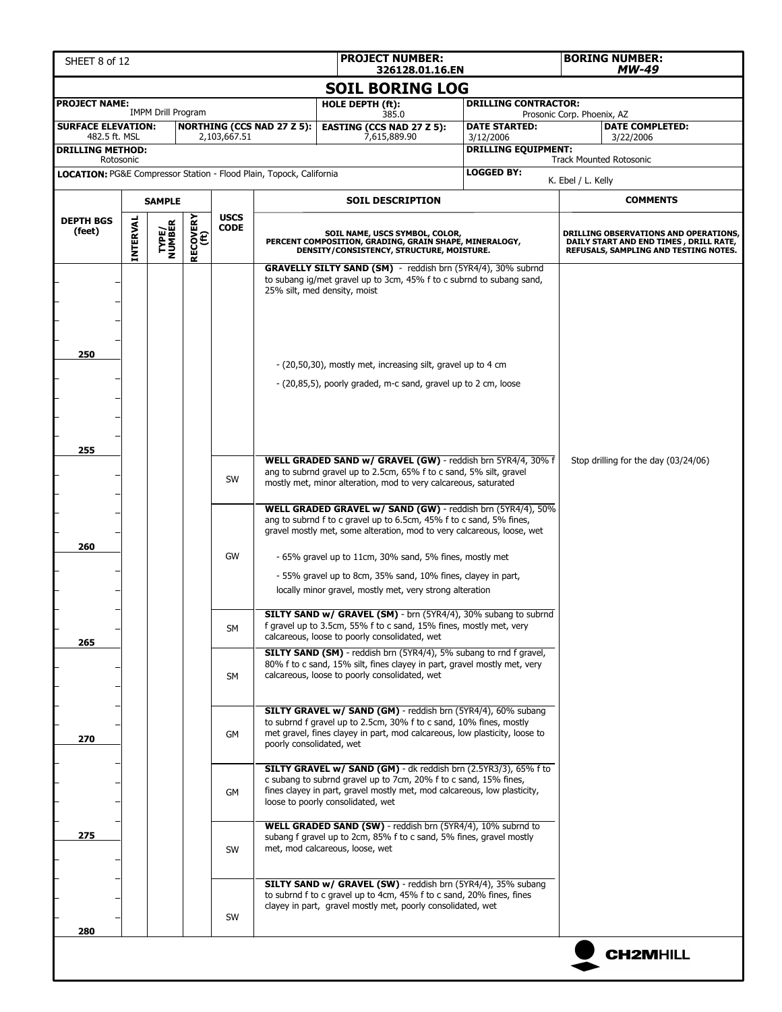| <b>PROJECT NUMBER:</b><br>SHEET 8 of 12<br>326128.01.16.EN |                 |                           |                         |                            |                                                                     |                                                                                                                                                                                                                                                                                                                                                                                                     |  |                                         |                            | <b>BORING NUMBER:</b><br>MW-49                                                                                           |
|------------------------------------------------------------|-----------------|---------------------------|-------------------------|----------------------------|---------------------------------------------------------------------|-----------------------------------------------------------------------------------------------------------------------------------------------------------------------------------------------------------------------------------------------------------------------------------------------------------------------------------------------------------------------------------------------------|--|-----------------------------------------|----------------------------|--------------------------------------------------------------------------------------------------------------------------|
|                                                            |                 |                           |                         |                            |                                                                     | <b>SOIL BORING LOG</b>                                                                                                                                                                                                                                                                                                                                                                              |  |                                         |                            |                                                                                                                          |
| <b>PROJECT NAME:</b>                                       |                 |                           |                         |                            |                                                                     | HOLE DEPTH (ft):                                                                                                                                                                                                                                                                                                                                                                                    |  | <b>DRILLING CONTRACTOR:</b>             |                            |                                                                                                                          |
| <b>SURFACE ELEVATION:</b>                                  |                 | <b>IMPM Drill Program</b> |                         |                            | <b>NORTHING (CCS NAD 27 Z 5):</b>                                   | 385.0<br><b>EASTING (CCS NAD 27 Z 5):</b>                                                                                                                                                                                                                                                                                                                                                           |  | <b>DATE STARTED:</b>                    | Prosonic Corp. Phoenix, AZ | <b>DATE COMPLETED:</b>                                                                                                   |
| 482.5 ft. MSL<br><b>DRILLING METHOD:</b>                   |                 |                           |                         | 2,103,667.51               |                                                                     | 7,615,889.90                                                                                                                                                                                                                                                                                                                                                                                        |  | 3/12/2006<br><b>DRILLING EQUIPMENT:</b> |                            | 3/22/2006                                                                                                                |
| Rotosonic                                                  |                 |                           |                         |                            | LOCATION: PG&E Compressor Station - Flood Plain, Topock, California |                                                                                                                                                                                                                                                                                                                                                                                                     |  | <b>LOGGED BY:</b>                       |                            | <b>Track Mounted Rotosonic</b>                                                                                           |
|                                                            |                 |                           |                         |                            |                                                                     |                                                                                                                                                                                                                                                                                                                                                                                                     |  |                                         | K. Ebel / L. Kelly         |                                                                                                                          |
|                                                            |                 | <b>SAMPLE</b>             |                         |                            |                                                                     | <b>SOIL DESCRIPTION</b>                                                                                                                                                                                                                                                                                                                                                                             |  |                                         |                            | <b>COMMENTS</b>                                                                                                          |
| <b>DEPTH BGS</b><br>(feet)                                 | <b>INTERVAL</b> | <b>TYPE/<br/>NUMBER</b>   | <b>RECOVERY</b><br>(ft) | <b>USCS</b><br><b>CODE</b> |                                                                     | SOIL NAME, USCS SYMBOL, COLOR,<br>PERCENT COMPOSITION, GRADING, GRAIN SHAPE, MINERALOGY,<br>DENSITY/CONSISTENCY, STRUCTURE, MOISTURE.                                                                                                                                                                                                                                                               |  |                                         |                            | DRILLING OBSERVATIONS AND OPERATIONS,<br>DAILY START AND END TIMES, DRILL RATE,<br>REFUSALS, SAMPLING AND TESTING NOTES. |
|                                                            |                 |                           |                         |                            |                                                                     | <b>GRAVELLY SILTY SAND (SM)</b> - reddish brn (5YR4/4), 30% subrnd<br>to subang ig/met gravel up to 3cm, 45% f to c subrnd to subang sand,<br>25% silt, med density, moist                                                                                                                                                                                                                          |  |                                         |                            |                                                                                                                          |
| 250                                                        |                 |                           |                         |                            |                                                                     | - (20,50,30), mostly met, increasing silt, gravel up to 4 cm<br>- (20,85,5), poorly graded, m-c sand, gravel up to 2 cm, loose                                                                                                                                                                                                                                                                      |  |                                         |                            |                                                                                                                          |
| 255                                                        |                 |                           |                         |                            |                                                                     |                                                                                                                                                                                                                                                                                                                                                                                                     |  |                                         |                            |                                                                                                                          |
|                                                            |                 |                           |                         | SW                         |                                                                     | WELL GRADED SAND w/ GRAVEL (GW) - reddish brn 5YR4/4, 30% f<br>ang to subrnd gravel up to 2.5cm, 65% f to c sand, 5% silt, gravel<br>mostly met, minor alteration, mod to very calcareous, saturated                                                                                                                                                                                                |  | Stop drilling for the day (03/24/06)    |                            |                                                                                                                          |
| 260                                                        |                 |                           |                         | GW                         |                                                                     | WELL GRADED GRAVEL w/ SAND (GW) - reddish brn (5YR4/4), 50%<br>ang to subrnd f to c gravel up to 6.5cm, 45% f to c sand, 5% fines,<br>gravel mostly met, some alteration, mod to very calcareous, loose, wet<br>- 65% gravel up to 11cm, 30% sand, 5% fines, mostly met<br>- 55% gravel up to 8cm, 35% sand, 10% fines, clayey in part,<br>locally minor gravel, mostly met, very strong alteration |  |                                         |                            |                                                                                                                          |
| 265                                                        |                 |                           |                         | SM                         |                                                                     | SILTY SAND w/ GRAVEL (SM) - brn (5YR4/4), 30% subang to subrnd<br>t gravel up to 3.5cm, 55% f to c sand, 15% fines, mostly met, very<br>calcareous, loose to poorly consolidated, wet                                                                                                                                                                                                               |  |                                         |                            |                                                                                                                          |
|                                                            |                 |                           |                         | SM                         |                                                                     | <b>SILTY SAND (SM)</b> - reddish brn (5YR4/4), 5% subang to rnd f gravel,<br>80% f to c sand, 15% silt, fines clayey in part, gravel mostly met, very<br>calcareous, loose to poorly consolidated, wet                                                                                                                                                                                              |  |                                         |                            |                                                                                                                          |
| 270                                                        |                 |                           |                         | GM                         | poorly consolidated, wet                                            | SILTY GRAVEL w/ SAND (GM) - reddish brn (5YR4/4), 60% subang<br>to subrnd f gravel up to 2.5cm, 30% f to c sand, 10% fines, mostly<br>met gravel, fines clayey in part, mod calcareous, low plasticity, loose to                                                                                                                                                                                    |  |                                         |                            |                                                                                                                          |
|                                                            |                 |                           |                         | GM                         |                                                                     | SILTY GRAVEL w/ SAND (GM) - dk reddish brn (2.5YR3/3), 65% f to<br>c subang to subrnd gravel up to 7cm, 20% f to c sand, 15% fines,<br>fines clayey in part, gravel mostly met, mod calcareous, low plasticity,<br>loose to poorly consolidated, wet                                                                                                                                                |  |                                         |                            |                                                                                                                          |
| 275                                                        |                 |                           |                         | SW                         |                                                                     | WELL GRADED SAND (SW) - reddish brn (5YR4/4), 10% subrnd to<br>subang f gravel up to 2cm, 85% f to c sand, 5% fines, gravel mostly<br>met, mod calcareous, loose, wet                                                                                                                                                                                                                               |  |                                         |                            |                                                                                                                          |
| 280                                                        |                 |                           |                         | SW                         |                                                                     | SILTY SAND w/ GRAVEL (SW) - reddish brn (5YR4/4), 35% subang<br>to subrnd f to c gravel up to 4cm, 45% f to c sand, 20% fines, fines<br>clayey in part, gravel mostly met, poorly consolidated, wet                                                                                                                                                                                                 |  |                                         |                            |                                                                                                                          |
|                                                            |                 |                           |                         |                            |                                                                     |                                                                                                                                                                                                                                                                                                                                                                                                     |  |                                         |                            | <b>CH2MHILL</b>                                                                                                          |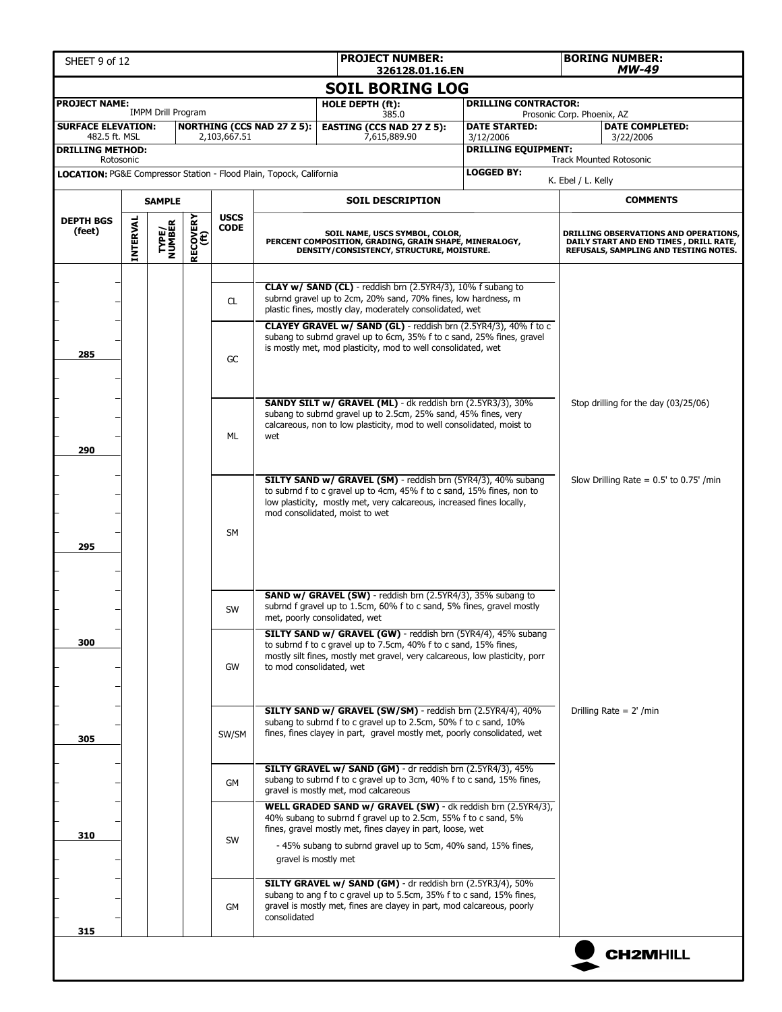| SHEET 9 of 12                                                       |          |                           |                  |                            |                                   | <b>PROJECT NUMBER:</b><br><b>BORING NUMBER:</b><br>MW-49<br>326128.01.16.EN                                                                                                                                                                                   |                                         |                                                                                                                          |  |
|---------------------------------------------------------------------|----------|---------------------------|------------------|----------------------------|-----------------------------------|---------------------------------------------------------------------------------------------------------------------------------------------------------------------------------------------------------------------------------------------------------------|-----------------------------------------|--------------------------------------------------------------------------------------------------------------------------|--|
|                                                                     |          |                           |                  |                            |                                   | <b>SOIL BORING LOG</b>                                                                                                                                                                                                                                        |                                         |                                                                                                                          |  |
| <b>PROJECT NAME:</b>                                                |          |                           |                  |                            |                                   | HOLE DEPTH (ft):                                                                                                                                                                                                                                              | <b>DRILLING CONTRACTOR:</b>             |                                                                                                                          |  |
| <b>SURFACE ELEVATION:</b>                                           |          | <b>IMPM Drill Program</b> |                  |                            | <b>NORTHING (CCS NAD 27 Z 5):</b> | 385.0<br><b>EASTING (CCS NAD 27 Z 5):</b>                                                                                                                                                                                                                     | <b>DATE STARTED:</b>                    | Prosonic Corp. Phoenix, AZ<br><b>DATE COMPLETED:</b>                                                                     |  |
| 482.5 ft. MSL<br><b>DRILLING METHOD:</b>                            |          |                           |                  | 2,103,667.51               |                                   | 7,615,889.90                                                                                                                                                                                                                                                  | 3/12/2006<br><b>DRILLING EQUIPMENT:</b> | 3/22/2006                                                                                                                |  |
| Rotosonic                                                           |          |                           |                  |                            |                                   |                                                                                                                                                                                                                                                               |                                         | <b>Track Mounted Rotosonic</b>                                                                                           |  |
| LOCATION: PG&E Compressor Station - Flood Plain, Topock, California |          |                           |                  |                            |                                   |                                                                                                                                                                                                                                                               | <b>LOGGED BY:</b>                       | K. Ebel / L. Kelly                                                                                                       |  |
|                                                                     |          | <b>SAMPLE</b>             |                  |                            |                                   | <b>SOIL DESCRIPTION</b>                                                                                                                                                                                                                                       |                                         | <b>COMMENTS</b>                                                                                                          |  |
| <b>DEPTH BGS</b><br>(feet)                                          | INTERVAL | TYPE/<br>NUMBER           | RECOVERY<br>(ft) | <b>USCS</b><br><b>CODE</b> |                                   | SOIL NAME, USCS SYMBOL, COLOR,<br>PERCENT COMPOSITION, GRADING, GRAIN SHAPE, MINERALOGY,<br>DENSITY/CONSISTENCY, STRUCTURE, MOISTURE.                                                                                                                         |                                         | DRILLING OBSERVATIONS AND OPERATIONS,<br>DAILY START AND END TIMES, DRILL RATE,<br>REFUSALS, SAMPLING AND TESTING NOTES. |  |
|                                                                     |          |                           |                  | CL.                        |                                   | CLAY w/ SAND (CL) - reddish brn (2.5YR4/3), 10% f subang to<br>subrnd gravel up to 2cm, 20% sand, 70% fines, low hardness, m<br>plastic fines, mostly clay, moderately consolidated, wet<br>CLAYEY GRAVEL w/ SAND (GL) - reddish brn (2.5YR4/3), 40% f to c   |                                         |                                                                                                                          |  |
| 285                                                                 |          |                           |                  | GC                         |                                   | subang to subrnd gravel up to 6cm, 35% f to c sand, 25% fines, gravel<br>is mostly met, mod plasticity, mod to well consolidated, wet                                                                                                                         |                                         |                                                                                                                          |  |
| 290                                                                 |          |                           |                  | ML                         | wet                               | <b>SANDY SILT w/ GRAVEL (ML)</b> - dk reddish brn (2.5YR3/3), 30%<br>subang to subrnd gravel up to 2.5cm, 25% sand, 45% fines, very<br>calcareous, non to low plasticity, mod to well consolidated, moist to                                                  |                                         | Stop drilling for the day (03/25/06)                                                                                     |  |
| 295                                                                 |          |                           |                  | <b>SM</b>                  |                                   | SILTY SAND w/ GRAVEL (SM) - reddish brn (5YR4/3), 40% subang<br>to subrnd f to c gravel up to 4cm, 45% f to c sand, 15% fines, non to<br>low plasticity, mostly met, very calcareous, increased fines locally,<br>mod consolidated, moist to wet              |                                         | Slow Drilling Rate = $0.5'$ to $0.75'$ /min                                                                              |  |
|                                                                     |          |                           |                  | SW                         |                                   | <b>SAND w/ GRAVEL (SW)</b> - reddish brn (2.5YR4/3), 35% subang to<br>subrnd f gravel up to 1.5cm, 60% f to c sand, 5% fines, gravel mostly<br>met, poorly consolidated, wet                                                                                  |                                         |                                                                                                                          |  |
| 300                                                                 |          |                           |                  | GW                         | to mod consolidated, wet          | SILTY SAND w/ GRAVEL (GW) - reddish brn (5YR4/4), 45% subang<br>to subrnd f to c gravel up to 7.5cm, 40% f to c sand, 15% fines,<br>mostly silt fines, mostly met gravel, very calcareous, low plasticity, porr                                               |                                         |                                                                                                                          |  |
| 305                                                                 |          |                           |                  | SW/SM                      |                                   | SILTY SAND w/ GRAVEL (SW/SM) - reddish brn (2.5YR4/4), 40%<br>subang to subrnd f to c gravel up to 2.5cm, 50% f to c sand, 10%<br>fines, fines clayey in part, gravel mostly met, poorly consolidated, wet                                                    |                                         | Drilling Rate = $2'$ /min                                                                                                |  |
|                                                                     |          |                           |                  | GM                         |                                   | SILTY GRAVEL w/ SAND (GM) - dr reddish brn (2.5YR4/3), 45%<br>subang to subrnd f to c gravel up to 3cm, 40% f to c sand, 15% fines,<br>gravel is mostly met, mod calcareous                                                                                   |                                         |                                                                                                                          |  |
| 310                                                                 |          |                           |                  | SW                         | gravel is mostly met              | WELL GRADED SAND w/ GRAVEL (SW) - dk reddish brn (2.5YR4/3),<br>40% subang to subrnd f gravel up to 2.5cm, 55% f to c sand, 5%<br>fines, gravel mostly met, fines clayey in part, loose, wet<br>- 45% subang to subrnd gravel up to 5cm, 40% sand, 15% fines, |                                         |                                                                                                                          |  |
| 315                                                                 |          |                           |                  | GM                         | consolidated                      | SILTY GRAVEL w/ SAND (GM) - dr reddish brn (2.5YR3/4), 50%<br>subang to ang f to c gravel up to 5.5cm, 35% f to c sand, 15% fines,<br>gravel is mostly met, fines are clayey in part, mod calcareous, poorly                                                  |                                         |                                                                                                                          |  |
|                                                                     |          |                           |                  |                            |                                   |                                                                                                                                                                                                                                                               |                                         | <b>CH2MHILL</b>                                                                                                          |  |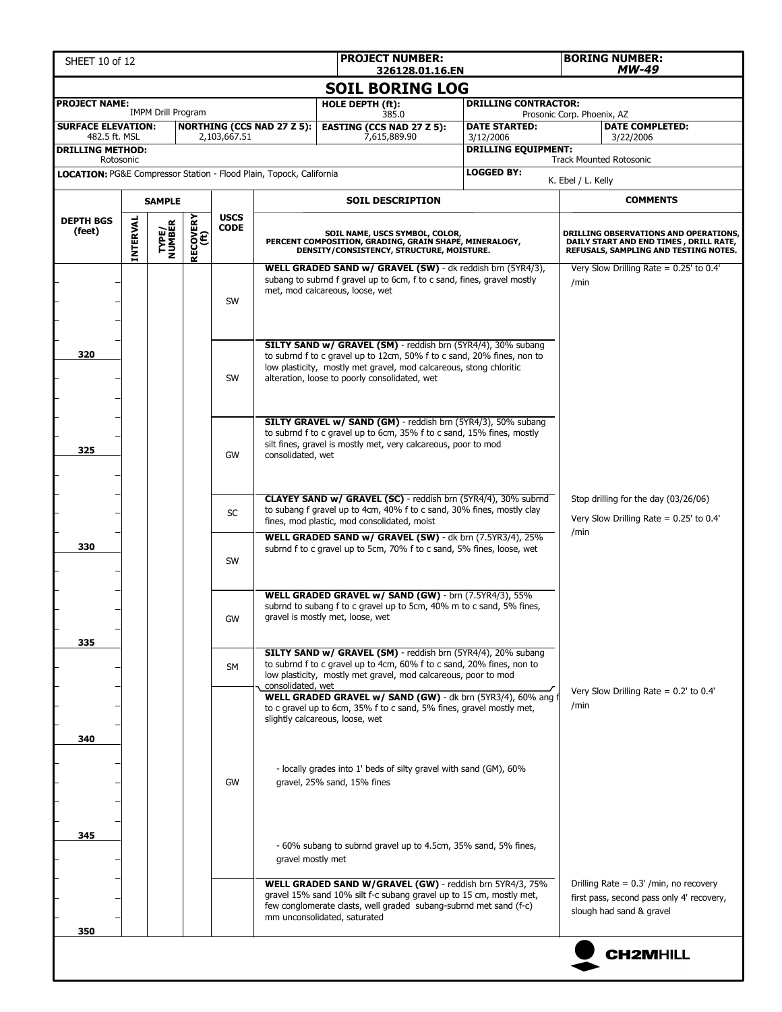| <b>PROJECT NUMBER:</b><br>SHEET 10 of 12<br>326128.01.16.EN |                 |                           |                  |                            |                                                                     |                                                                                                                                                                                                                                                               |                                         | <b>BORING NUMBER:</b><br>MW-49                                                                                           |
|-------------------------------------------------------------|-----------------|---------------------------|------------------|----------------------------|---------------------------------------------------------------------|---------------------------------------------------------------------------------------------------------------------------------------------------------------------------------------------------------------------------------------------------------------|-----------------------------------------|--------------------------------------------------------------------------------------------------------------------------|
|                                                             |                 |                           |                  |                            |                                                                     | <b>SOIL BORING LOG</b>                                                                                                                                                                                                                                        |                                         |                                                                                                                          |
| <b>PROJECT NAME:</b>                                        |                 |                           |                  |                            |                                                                     | HOLE DEPTH (ft):                                                                                                                                                                                                                                              | <b>DRILLING CONTRACTOR:</b>             |                                                                                                                          |
| <b>SURFACE ELEVATION:</b>                                   |                 | <b>IMPM Drill Program</b> |                  |                            | <b>NORTHING (CCS NAD 27 Z 5):</b>                                   | 385.0<br><b>EASTING (CCS NAD 27 Z 5):</b>                                                                                                                                                                                                                     | <b>DATE STARTED:</b>                    | Prosonic Corp. Phoenix, AZ<br><b>DATE COMPLETED:</b>                                                                     |
| 482.5 ft. MSL<br><b>DRILLING METHOD:</b>                    |                 |                           |                  | 2,103,667.51               |                                                                     | 7,615,889.90                                                                                                                                                                                                                                                  | 3/12/2006<br><b>DRILLING EQUIPMENT:</b> | 3/22/2006                                                                                                                |
| Rotosonic                                                   |                 |                           |                  |                            |                                                                     |                                                                                                                                                                                                                                                               |                                         | <b>Track Mounted Rotosonic</b>                                                                                           |
|                                                             |                 |                           |                  |                            | LOCATION: PG&E Compressor Station - Flood Plain, Topock, California |                                                                                                                                                                                                                                                               | <b>LOGGED BY:</b>                       | K. Ebel / L. Kelly                                                                                                       |
|                                                             |                 | <b>SAMPLE</b>             |                  |                            |                                                                     | <b>SOIL DESCRIPTION</b>                                                                                                                                                                                                                                       |                                         | <b>COMMENTS</b>                                                                                                          |
| <b>DEPTH BGS</b><br>(feet)                                  | <b>INTERVAL</b> | <b>TYPE/<br/>NUMBER</b>   | RECOVERY<br>(ft) | <b>USCS</b><br><b>CODE</b> |                                                                     | SOIL NAME, USCS SYMBOL, COLOR,<br>PERCENT COMPOSITION, GRADING, GRAIN SHAPE, MINERALOGY,<br>DENSITY/CONSISTENCY, STRUCTURE, MOISTURE.                                                                                                                         |                                         | DRILLING OBSERVATIONS AND OPERATIONS,<br>DAILY START AND END TIMES, DRILL RATE,<br>REFUSALS, SAMPLING AND TESTING NOTES. |
|                                                             |                 |                           |                  | SW                         |                                                                     | WELL GRADED SAND w/ GRAVEL (SW) - dk reddish brn (5YR4/3),<br>subang to subrnd f gravel up to 6cm, f to c sand, fines, gravel mostly<br>met, mod calcareous, loose, wet                                                                                       |                                         | Very Slow Drilling Rate = $0.25'$ to 0.4'<br>/min                                                                        |
| 320                                                         |                 |                           |                  | <b>SW</b>                  |                                                                     | SILTY SAND w/ GRAVEL (SM) - reddish brn (5YR4/4), 30% subang<br>to subrnd f to c gravel up to 12cm, 50% f to c sand, 20% fines, non to<br>low plasticity, mostly met gravel, mod calcareous, stong chloritic<br>alteration, loose to poorly consolidated, wet |                                         |                                                                                                                          |
| 325                                                         |                 |                           |                  | GW                         | consolidated, wet                                                   | SILTY GRAVEL w/ SAND (GM) - reddish brn (5YR4/3), 50% subang<br>to subrnd f to c gravel up to 6cm, 35% f to c sand, 15% fines, mostly<br>silt fines, gravel is mostly met, very calcareous, poor to mod                                                       |                                         |                                                                                                                          |
|                                                             |                 |                           |                  | <b>SC</b>                  |                                                                     | CLAYEY SAND w/ GRAVEL (SC) - reddish brn (5YR4/4), 30% subrnd<br>to subang f gravel up to 4cm, 40% f to c sand, 30% fines, mostly clay<br>fines, mod plastic, mod consolidated, moist                                                                         |                                         | Stop drilling for the day (03/26/06)<br>Very Slow Drilling Rate = $0.25'$ to 0.4'<br>/min                                |
| 330                                                         |                 |                           |                  | SW                         |                                                                     | WELL GRADED SAND w/ GRAVEL (SW) - dk brn (7.5YR3/4), 25%<br>subrnd f to c gravel up to 5cm, 70% f to c sand, 5% fines, loose, wet                                                                                                                             |                                         |                                                                                                                          |
|                                                             |                 |                           |                  | GW                         |                                                                     | WELL GRADED GRAVEL w/ SAND (GW) - brn (7.5YR4/3), 55%<br>subrnd to subang f to c gravel up to 5cm, 40% m to c sand, 5% fines,<br>gravel is mostly met, loose, wet                                                                                             |                                         |                                                                                                                          |
| 335                                                         |                 |                           |                  | <b>SM</b>                  | consolidated, wet                                                   | <b>SILTY SAND w/ GRAVEL (SM)</b> - reddish brn (5YR4/4), 20% subang<br>to subrnd f to c gravel up to 4cm, 60% f to c sand, 20% fines, non to<br>low plasticity, mostly met gravel, mod calcareous, poor to mod                                                |                                         |                                                                                                                          |
| 340                                                         |                 |                           |                  |                            |                                                                     | WELL GRADED GRAVEL w/ SAND (GW) - dk brn (5YR3/4), 60% ang f<br>to c gravel up to 6cm, 35% f to c sand, 5% fines, gravel mostly met,<br>slightly calcareous, loose, wet                                                                                       |                                         | Very Slow Drilling Rate = $0.2'$ to $0.4'$<br>/min                                                                       |
|                                                             |                 |                           |                  | GW                         |                                                                     | - locally grades into 1' beds of silty gravel with sand (GM), 60%<br>gravel, 25% sand, 15% fines                                                                                                                                                              |                                         |                                                                                                                          |
| 345                                                         |                 |                           |                  |                            | gravel mostly met                                                   | - 60% subang to subrnd gravel up to 4.5cm, 35% sand, 5% fines,                                                                                                                                                                                                |                                         |                                                                                                                          |
|                                                             |                 |                           |                  |                            |                                                                     | WELL GRADED SAND W/GRAVEL (GW) - reddish brn 5YR4/3, 75%<br>gravel 15% sand 10% silt f-c subang gravel up to 15 cm, mostly met,<br>few conglomerate clasts, well graded subang-subrnd met sand (f-c)<br>mm unconsolidated, saturated                          |                                         | Drilling Rate = $0.3'$ /min, no recovery<br>first pass, second pass only 4' recovery,<br>slough had sand & gravel        |
| 350                                                         |                 |                           |                  |                            |                                                                     |                                                                                                                                                                                                                                                               |                                         | <b>CH2MHILL</b>                                                                                                          |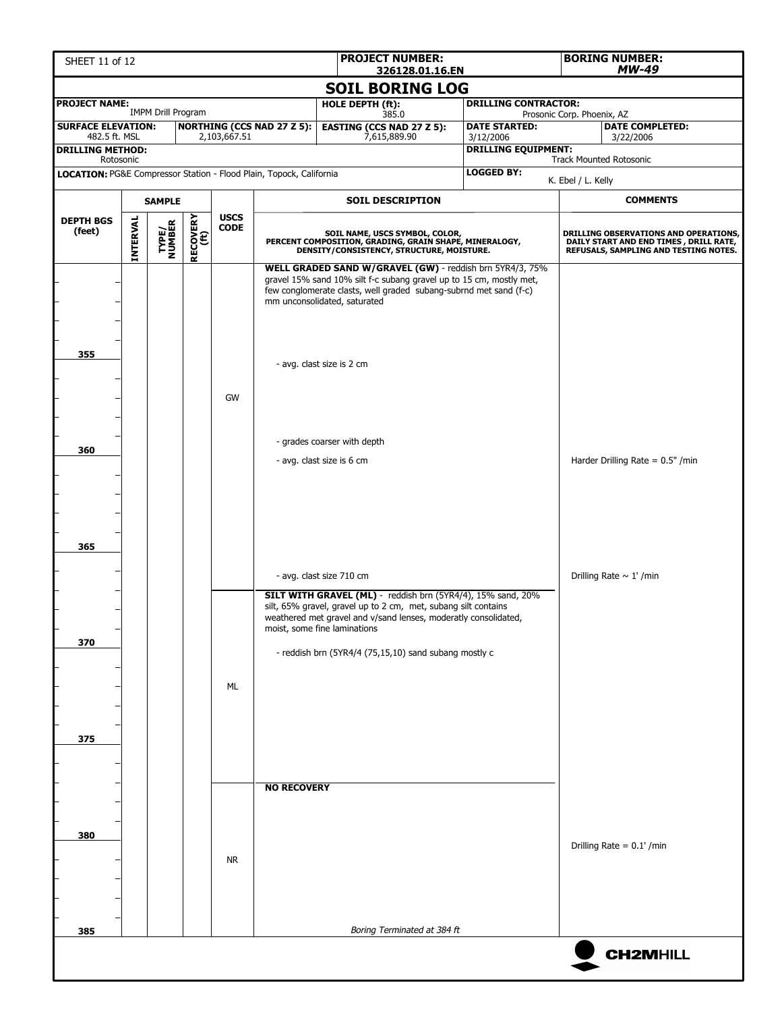| <b>PROJECT NUMBER:</b><br>SHEET 11 of 12<br>326128.01.16.EN         |                 |                           |                  |                            |                                   |                                                                                                                                                                                                                                                                                           |                                         | <b>BORING NUMBER:</b><br><b>MW-49</b>                                                                                     |
|---------------------------------------------------------------------|-----------------|---------------------------|------------------|----------------------------|-----------------------------------|-------------------------------------------------------------------------------------------------------------------------------------------------------------------------------------------------------------------------------------------------------------------------------------------|-----------------------------------------|---------------------------------------------------------------------------------------------------------------------------|
|                                                                     |                 |                           |                  |                            |                                   | <b>SOIL BORING LOG</b>                                                                                                                                                                                                                                                                    |                                         |                                                                                                                           |
| <b>PROJECT NAME:</b>                                                |                 |                           |                  |                            |                                   | <b>HOLE DEPTH (ft):</b>                                                                                                                                                                                                                                                                   | <b>DRILLING CONTRACTOR:</b>             |                                                                                                                           |
| <b>SURFACE ELEVATION:</b>                                           |                 | <b>IMPM Drill Program</b> |                  |                            | <b>NORTHING (CCS NAD 27 Z 5):</b> | 385.0<br><b>EASTING (CCS NAD 27 Z 5):</b>                                                                                                                                                                                                                                                 | <b>DATE STARTED:</b>                    | Prosonic Corp. Phoenix, AZ<br><b>DATE COMPLETED:</b>                                                                      |
| 482.5 ft. MSL<br><b>DRILLING METHOD:</b>                            |                 |                           |                  | 2,103,667.51               |                                   | 7,615,889.90                                                                                                                                                                                                                                                                              | 3/12/2006<br><b>DRILLING EQUIPMENT:</b> | 3/22/2006                                                                                                                 |
| Rotosonic                                                           |                 |                           |                  |                            |                                   |                                                                                                                                                                                                                                                                                           |                                         | <b>Track Mounted Rotosonic</b>                                                                                            |
| LOCATION: PG&E Compressor Station - Flood Plain, Topock, California |                 |                           |                  |                            |                                   |                                                                                                                                                                                                                                                                                           | <b>LOGGED BY:</b>                       | K. Ebel / L. Kelly                                                                                                        |
|                                                                     |                 | <b>SAMPLE</b>             |                  |                            |                                   | <b>SOIL DESCRIPTION</b>                                                                                                                                                                                                                                                                   |                                         | <b>COMMENTS</b>                                                                                                           |
| <b>DEPTH BGS</b><br>(feet)                                          | <b>INTERVAL</b> | <b>TYPE/<br/>NUMBER</b>   | RECOVERY<br>(ft) | <b>USCS</b><br><b>CODE</b> |                                   | SOIL NAME, USCS SYMBOL, COLOR,<br>PERCENT COMPOSITION, GRADING, GRAIN SHAPE, MINERALOGY,<br>DENSITY/CONSISTENCY, STRUCTURE, MOISTURE.                                                                                                                                                     |                                         | DRILLING OBSERVATIONS AND OPERATIONS,<br>DAILY START AND END TIMES , DRILL RATE,<br>REFUSALS, SAMPLING AND TESTING NOTES. |
| 355                                                                 |                 |                           |                  | GW                         |                                   | WELL GRADED SAND W/GRAVEL (GW) - reddish brn 5YR4/3, 75%<br>gravel 15% sand 10% silt f-c subang gravel up to 15 cm, mostly met,<br>few conglomerate clasts, well graded subang-subrnd met sand (f-c)<br>mm unconsolidated, saturated<br>- avg. clast size is 2 cm                         |                                         |                                                                                                                           |
| 360                                                                 |                 |                           |                  |                            |                                   | - grades coarser with depth<br>- avg. clast size is 6 cm                                                                                                                                                                                                                                  |                                         | Harder Drilling Rate = $0.5"$ /min                                                                                        |
| 365                                                                 |                 |                           |                  |                            |                                   | - avg. clast size 710 cm                                                                                                                                                                                                                                                                  |                                         | Drilling Rate $\sim 1'$ /min                                                                                              |
| 370                                                                 |                 |                           |                  | ML                         |                                   | SILT WITH GRAVEL (ML) - reddish brn (5YR4/4), 15% sand, 20%<br>silt, 65% gravel, gravel up to 2 cm, met, subang silt contains<br>weathered met gravel and v/sand lenses, moderatly consolidated,<br>moist, some fine laminations<br>- reddish brn (5YR4/4 (75,15,10) sand subang mostly c |                                         |                                                                                                                           |
| 375                                                                 |                 |                           |                  |                            |                                   |                                                                                                                                                                                                                                                                                           |                                         |                                                                                                                           |
| 380                                                                 |                 |                           |                  | NR.                        | <b>NO RECOVERY</b>                |                                                                                                                                                                                                                                                                                           |                                         | Drilling Rate = $0.1'$ /min                                                                                               |
| 385                                                                 |                 |                           |                  |                            |                                   | Boring Terminated at 384 ft                                                                                                                                                                                                                                                               |                                         |                                                                                                                           |
|                                                                     |                 |                           |                  |                            |                                   |                                                                                                                                                                                                                                                                                           |                                         | <b>CH2MHILL</b>                                                                                                           |